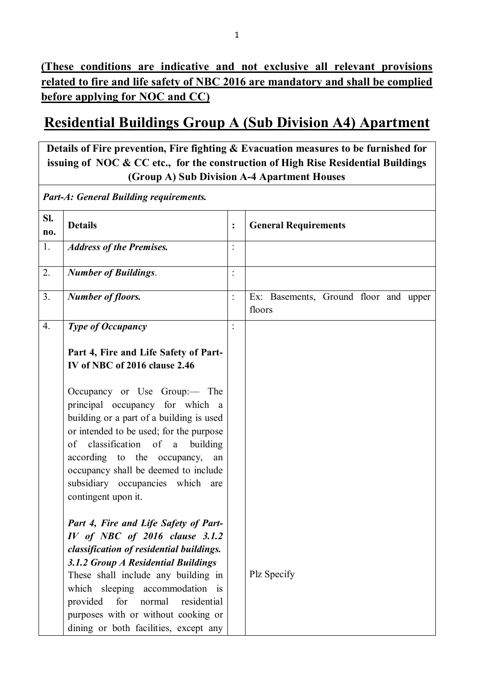# **Residential Buildings Group A (Sub Division A4) Apartment**

**Details of Fire prevention, Fire fighting & Evacuation measures to be furnished for issuing of NOC & CC etc., for the construction of High Rise Residential Buildings (Group A) Sub Division A-4 Apartment Houses**

*Part-A: General Building requirements.*

| SI.<br>no.       | <b>Details</b>                                                                                                                                                                                                                                                                                                                                                                                                       | $\ddot{\cdot}$ | <b>General Requirements</b>                     |
|------------------|----------------------------------------------------------------------------------------------------------------------------------------------------------------------------------------------------------------------------------------------------------------------------------------------------------------------------------------------------------------------------------------------------------------------|----------------|-------------------------------------------------|
| 1.               | <b>Address of the Premises.</b>                                                                                                                                                                                                                                                                                                                                                                                      | $\ddot{\cdot}$ |                                                 |
| 2.               | <b>Number of Buildings.</b>                                                                                                                                                                                                                                                                                                                                                                                          | $\ddot{\cdot}$ |                                                 |
| 3.               | <b>Number of floors.</b>                                                                                                                                                                                                                                                                                                                                                                                             | $\ddot{\cdot}$ | Ex: Basements, Ground floor and upper<br>floors |
| $\overline{4}$ . | <b>Type of Occupancy</b>                                                                                                                                                                                                                                                                                                                                                                                             | $\ddot{\cdot}$ |                                                 |
|                  | Part 4, Fire and Life Safety of Part-<br>IV of NBC of 2016 clause 2.46<br>Occupancy or Use Group:— The<br>principal occupancy for which a<br>building or a part of a building is used<br>or intended to be used; for the purpose<br>classification of<br>building<br>a<br>of<br>according to the occupancy,<br>an<br>occupancy shall be deemed to include<br>subsidiary occupancies which are<br>contingent upon it. |                |                                                 |
|                  | Part 4, Fire and Life Safety of Part-<br>IV of NBC of 2016 clause 3.1.2<br>classification of residential buildings.<br>3.1.2 Group A Residential Buildings<br>These shall include any building in<br>which sleeping accommodation is<br>provided<br>for<br>normal<br>residential<br>purposes with or without cooking or<br>dining or both facilities, except any                                                     |                | Plz Specify                                     |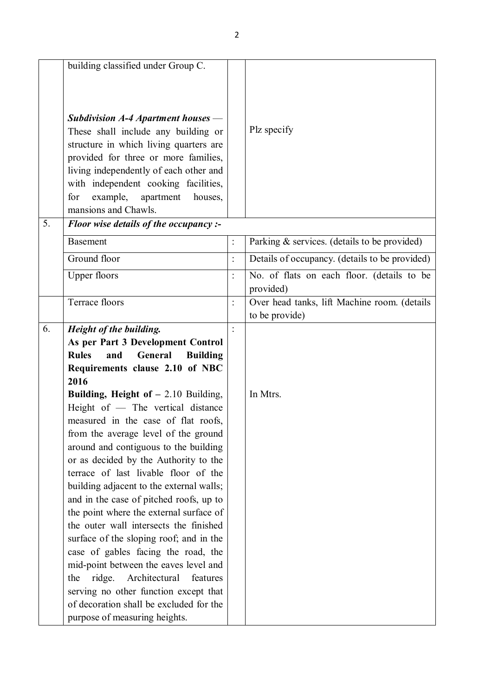|    | building classified under Group C.                                             |                |                                                |
|----|--------------------------------------------------------------------------------|----------------|------------------------------------------------|
|    |                                                                                |                |                                                |
|    |                                                                                |                |                                                |
|    | Subdivision $A-4$ Apartment houses —                                           |                | Plz specify                                    |
|    | These shall include any building or                                            |                |                                                |
|    | structure in which living quarters are<br>provided for three or more families, |                |                                                |
|    | living independently of each other and                                         |                |                                                |
|    | with independent cooking facilities,                                           |                |                                                |
|    | for<br>example,<br>apartment<br>houses,                                        |                |                                                |
|    | mansions and Chawls.                                                           |                |                                                |
| 5. | Floor wise details of the occupancy :-                                         |                |                                                |
|    | <b>Basement</b>                                                                | $\ddot{\cdot}$ | Parking & services. (details to be provided)   |
|    | Ground floor                                                                   | $\Box$         | Details of occupancy. (details to be provided) |
|    | <b>Upper floors</b>                                                            | $\ddot{\cdot}$ | No. of flats on each floor. (details to be     |
|    |                                                                                |                | provided)                                      |
|    | Terrace floors                                                                 | $\ddot{\cdot}$ | Over head tanks, lift Machine room. (details   |
|    |                                                                                |                | to be provide)                                 |
| 6. | Height of the building.                                                        |                |                                                |
|    | As per Part 3 Development Control                                              |                |                                                |
|    | <b>Rules</b><br>and<br>General<br><b>Building</b>                              |                |                                                |
|    | Requirements clause 2.10 of NBC                                                |                |                                                |
|    | 2016<br>Building, Height of $-2.10$ Building,                                  |                | In Mtrs.                                       |
|    | Height of - The vertical distance                                              |                |                                                |
|    | measured in the case of flat roofs,                                            |                |                                                |
|    | from the average level of the ground                                           |                |                                                |
|    | around and contiguous to the building                                          |                |                                                |
|    | or as decided by the Authority to the                                          |                |                                                |
|    | terrace of last livable floor of the                                           |                |                                                |
|    | building adjacent to the external walls;                                       |                |                                                |
|    | and in the case of pitched roofs, up to                                        |                |                                                |
|    | the point where the external surface of                                        |                |                                                |
|    | the outer wall intersects the finished                                         |                |                                                |
|    | surface of the sloping roof; and in the                                        |                |                                                |
|    | case of gables facing the road, the                                            |                |                                                |
|    | mid-point between the eaves level and                                          |                |                                                |
|    | Architectural<br>ridge.<br>features<br>the                                     |                |                                                |
|    | serving no other function except that                                          |                |                                                |
|    | of decoration shall be excluded for the                                        |                |                                                |
|    | purpose of measuring heights.                                                  |                |                                                |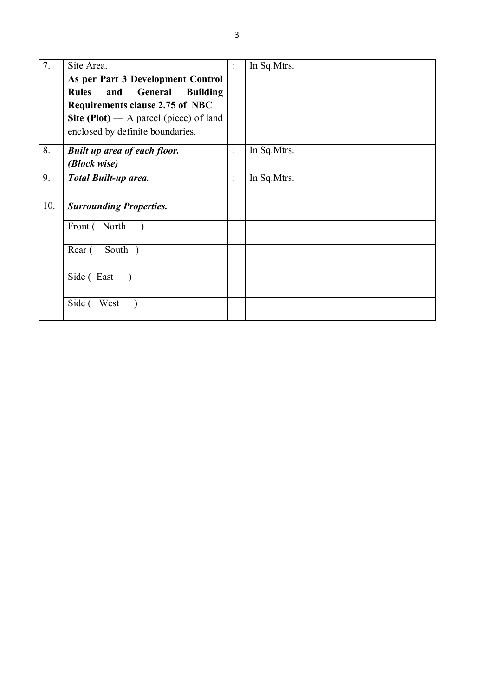| 7.  | Site Area.                                        | $\ddot{\cdot}$ | In Sq. Mtrs. |
|-----|---------------------------------------------------|----------------|--------------|
|     | As per Part 3 Development Control                 |                |              |
|     | <b>Rules</b><br>and<br>General<br><b>Building</b> |                |              |
|     | Requirements clause 2.75 of NBC                   |                |              |
|     | Site (Plot) — A parcel (piece) of land            |                |              |
|     | enclosed by definite boundaries.                  |                |              |
| 8.  | <b>Built up area of each floor.</b>               | $\ddot{\cdot}$ | In Sq. Mtrs. |
|     | (Block wise)                                      |                |              |
| 9.  | Total Built-up area.                              | $\ddot{\cdot}$ | In Sq. Mtrs. |
|     |                                                   |                |              |
| 10. | <b>Surrounding Properties.</b>                    |                |              |
|     | Front (North                                      |                |              |
|     | South )<br>Rear (                                 |                |              |
|     | Side (East                                        |                |              |
|     | Side (<br>West                                    |                |              |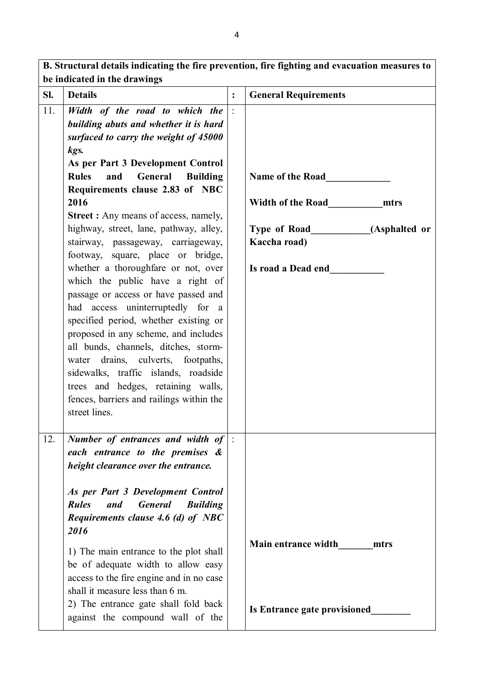**B. Structural details indicating the fire prevention, fire fighting and evacuation measures to be indicated in the drawings Sl. Details : General Requirements** 11. *Width of the road to which the building abuts and whether it is hard surfaced to carry the weight of 45000 kgs.* **As per Part 3 Development Control Rules and General Building Requirements clause 2.83 of NBC 2016 Street :** Any means of access, namely, highway, street, lane, pathway, alley, stairway, passageway, carriageway, footway, square, place or bridge, whether a thoroughfare or not, over which the public have a right of passage or access or have passed and had access uninterruptedly for a specified period, whether existing or proposed in any scheme, and includes all bunds, channels, ditches, stormwater drains, culverts, footpaths, sidewalks, traffic islands, roadside trees and hedges, retaining walls, fences, barriers and railings within the street lines. : **Name of the Road\_\_\_\_\_\_\_\_\_\_\_\_\_ Width of the Road\_\_\_\_\_\_\_\_\_\_\_mtrs Type of Road\_\_\_\_\_\_\_\_\_\_\_\_(Asphalted or Kaccha road) Is road a Dead end\_\_\_\_\_\_\_\_\_\_\_** 12. *Number of entrances and width of each entrance to the premises & height clearance over the entrance. As per Part 3 Development Control Rules and General Building Requirements clause 4.6 (d) of NBC 2016* 1) The main entrance to the plot shall be of adequate width to allow easy access to the fire engine and in no case shall it measure less than 6 m. 2) The entrance gate shall fold back against the compound wall of the  $\vert \cdot \vert$ **Main entrance width\_\_\_\_\_\_\_mtrs Is Entrance gate provisioned\_\_\_\_\_\_\_\_**

4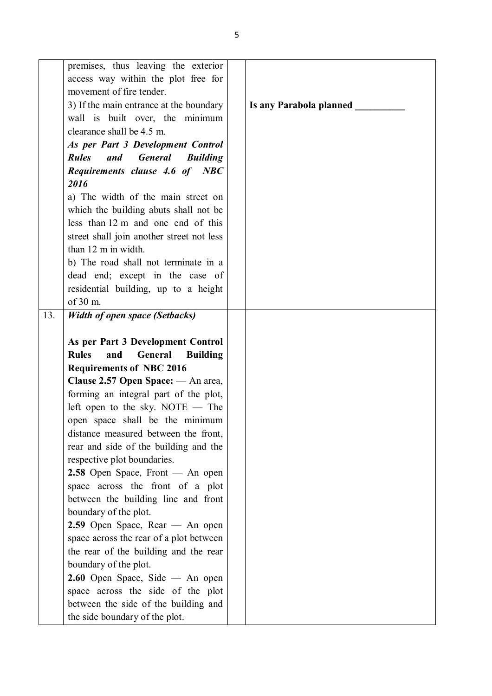|     | premises, thus leaving the exterior                      |                         |
|-----|----------------------------------------------------------|-------------------------|
|     | access way within the plot free for                      |                         |
|     | movement of fire tender.                                 |                         |
|     | 3) If the main entrance at the boundary                  | Is any Parabola planned |
|     | wall is built over, the minimum                          |                         |
|     | clearance shall be 4.5 m.                                |                         |
|     | As per Part 3 Development Control                        |                         |
|     | <b>Rules</b><br><b>General</b><br><b>Building</b><br>and |                         |
|     |                                                          |                         |
|     | Requirements clause 4.6 of NBC<br>2016                   |                         |
|     |                                                          |                         |
|     | a) The width of the main street on                       |                         |
|     | which the building abuts shall not be                    |                         |
|     | less than 12 m and one end of this                       |                         |
|     | street shall join another street not less                |                         |
|     | than 12 m in width.                                      |                         |
|     | b) The road shall not terminate in a                     |                         |
|     | dead end; except in the case of                          |                         |
|     | residential building, up to a height                     |                         |
|     | of 30 m.                                                 |                         |
| 13. | <b>Width of open space (Setbacks)</b>                    |                         |
|     |                                                          |                         |
|     | As per Part 3 Development Control                        |                         |
|     | <b>Rules</b><br>and<br>General<br><b>Building</b>        |                         |
|     | <b>Requirements of NBC 2016</b>                          |                         |
|     | Clause 2.57 Open Space: — An area,                       |                         |
|     | forming an integral part of the plot,                    |                         |
|     | left open to the sky. NOTE $-$ The                       |                         |
|     | open space shall be the minimum                          |                         |
|     | distance measured between the front,                     |                         |
|     | rear and side of the building and the                    |                         |
|     | respective plot boundaries.                              |                         |
|     | 2.58 Open Space, Front — An open                         |                         |
|     | space across the front of a plot                         |                         |
|     | between the building line and front                      |                         |
|     | boundary of the plot.                                    |                         |
|     | $2.59$ Open Space, Rear — An open                        |                         |
|     | space across the rear of a plot between                  |                         |
|     | the rear of the building and the rear                    |                         |
|     | boundary of the plot.                                    |                         |
|     | $2.60$ Open Space, Side — An open                        |                         |
|     | space across the side of the plot                        |                         |
|     | between the side of the building and                     |                         |
|     | the side boundary of the plot.                           |                         |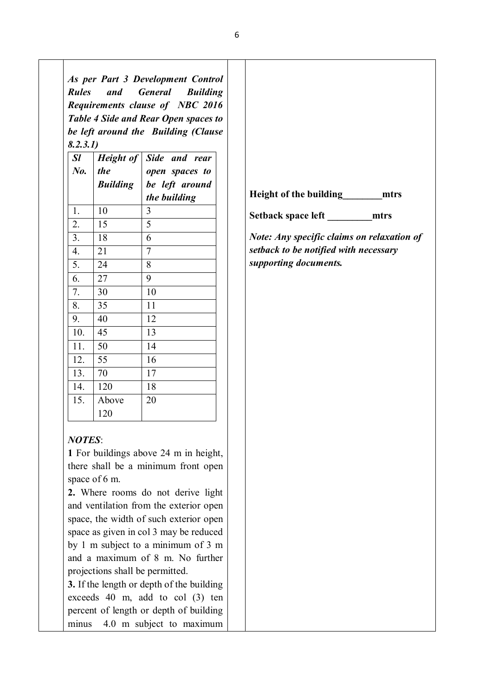*As per Part 3 Development Control Rules and General Building Requirements clause of NBC 2016 Table 4 Side and Rear Open spaces to be left around the Building (Clause 8.2.3.1)*

| Sl      | Height of       | Side and rear  |
|---------|-----------------|----------------|
| $N_{0}$ | <i>the</i>      | open spaces to |
|         | <b>Building</b> | be left around |
|         |                 | the building   |
| 1.      | 10              | 3              |
| 2.      | 15              | 5              |
| 3.      | 18              | 6              |
| 4.      | 21              | 7              |
| 5.      | 24              | 8              |
| 6.      | 27              | 9              |
| 7.      | 30              | 10             |
| 8.      | 35              | 11             |
| 9.      | 40              | 12             |
| 10.     | 45              | 13             |
| 11.     | 50              | 14             |
| 12.     | 55              | 16             |
| 13.     | 70              | 17             |
| 14.     | 120             | 18             |
| 15.     | Above           | 20             |
|         | 120             |                |

### *NOTES*:

**1** For buildings above 24 m in height, there shall be a minimum front open space of 6 m.

**2.** Where rooms do not derive light and ventilation from the exterior open space, the width of such exterior open space as given in col 3 may be reduced by 1 m subject to a minimum of 3 m and a maximum of 8 m. No further projections shall be permitted.

**3.** If the length or depth of the building exceeds 40 m, add to col (3) ten percent of length or depth of building minus 4.0 m subject to maximum

|                               | mtrs |
|-------------------------------|------|
| <b>Height of the building</b> |      |

*Note: Any specific claims on relaxation of setback to be notified with necessary supporting documents.*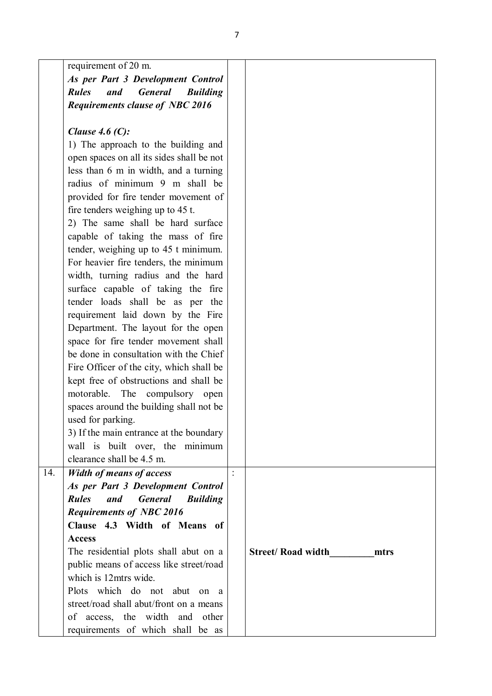|     | requirement of 20 m.                                     |                |                                   |
|-----|----------------------------------------------------------|----------------|-----------------------------------|
|     | As per Part 3 Development Control                        |                |                                   |
|     | <b>Rules</b><br>and<br><b>General</b><br><b>Building</b> |                |                                   |
|     | <b>Requirements clause of NBC 2016</b>                   |                |                                   |
|     |                                                          |                |                                   |
|     | Clause 4.6 $(C)$ :                                       |                |                                   |
|     | 1) The approach to the building and                      |                |                                   |
|     | open spaces on all its sides shall be not                |                |                                   |
|     | less than 6 m in width, and a turning                    |                |                                   |
|     | radius of minimum 9 m shall be                           |                |                                   |
|     | provided for fire tender movement of                     |                |                                   |
|     | fire tenders weighing up to 45 t.                        |                |                                   |
|     | 2) The same shall be hard surface                        |                |                                   |
|     | capable of taking the mass of fire                       |                |                                   |
|     | tender, weighing up to 45 t minimum.                     |                |                                   |
|     | For heavier fire tenders, the minimum                    |                |                                   |
|     | width, turning radius and the hard                       |                |                                   |
|     | surface capable of taking the fire                       |                |                                   |
|     | tender loads shall be as per the                         |                |                                   |
|     | requirement laid down by the Fire                        |                |                                   |
|     | Department. The layout for the open                      |                |                                   |
|     | space for fire tender movement shall                     |                |                                   |
|     | be done in consultation with the Chief                   |                |                                   |
|     | Fire Officer of the city, which shall be                 |                |                                   |
|     | kept free of obstructions and shall be                   |                |                                   |
|     | motorable.<br>The<br>compulsory open                     |                |                                   |
|     | spaces around the building shall not be                  |                |                                   |
|     | used for parking.                                        |                |                                   |
|     | 3) If the main entrance at the boundary                  |                |                                   |
|     | wall is built over, the minimum                          |                |                                   |
|     | clearance shall be 4.5 m.                                |                |                                   |
| 14. | <b>Width of means of access</b>                          | $\ddot{\cdot}$ |                                   |
|     | As per Part 3 Development Control                        |                |                                   |
|     | <b>Rules</b><br>and<br><b>General</b><br><b>Building</b> |                |                                   |
|     | <b>Requirements of NBC 2016</b>                          |                |                                   |
|     | Clause 4.3 Width of Means of                             |                |                                   |
|     | <b>Access</b>                                            |                |                                   |
|     | The residential plots shall abut on a                    |                | <b>Street/ Road width</b><br>mtrs |
|     | public means of access like street/road                  |                |                                   |
|     | which is 12mtrs wide.                                    |                |                                   |
|     | Plots which do not abut<br>on a                          |                |                                   |
|     | street/road shall abut/front on a means                  |                |                                   |
|     | of access, the width and<br>other                        |                |                                   |
|     | requirements of which shall be as                        |                |                                   |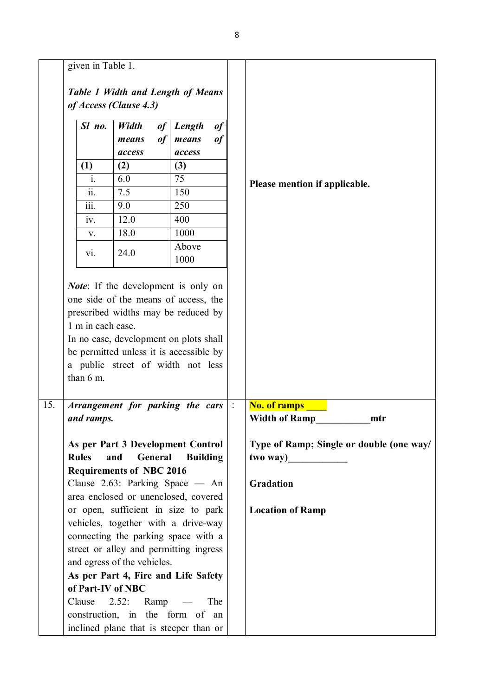|     | given in Table 1.                                                                  |                                        |          |                 |          |  |                                          |
|-----|------------------------------------------------------------------------------------|----------------------------------------|----------|-----------------|----------|--|------------------------------------------|
|     | Table 1 Width and Length of Means<br>of Access (Clause 4.3)                        |                                        |          |                 |          |  |                                          |
|     | Sl no.                                                                             | Width<br>means                         | of<br>of | Length<br>means | of<br>of |  |                                          |
|     |                                                                                    | access<br>(1)<br>(2)                   | access   |                 |          |  |                                          |
|     |                                                                                    |                                        |          | (3)             |          |  |                                          |
|     | $i$ .                                                                              | 6.0                                    |          | 75              |          |  | Please mention if applicable.            |
|     | $\overline{\text{ii}}$ .                                                           | 7.5                                    |          | 150             |          |  |                                          |
|     | $\overline{\text{iii}}$ .                                                          | 9.0                                    |          | 250             |          |  |                                          |
|     | iv.                                                                                | 12.0                                   |          | 400             |          |  |                                          |
|     | V.                                                                                 | 18.0                                   |          | 1000            |          |  |                                          |
|     | $\overline{vi}$ .                                                                  | 24.0                                   |          | Above<br>1000   |          |  |                                          |
| 15. | a public street of width not less<br>than 6 m.<br>Arrangement for parking the cars |                                        |          |                 |          |  | <b>No. of ramps</b>                      |
|     | and ramps.                                                                         |                                        |          |                 |          |  | Width of Ramp________<br>mtr             |
|     | As per Part 3 Development Control                                                  |                                        |          |                 |          |  | Type of Ramp; Single or double (one way/ |
|     | <b>Rules</b>                                                                       | and                                    | General  | <b>Building</b> |          |  | two way)                                 |
|     | <b>Requirements of NBC 2016</b>                                                    |                                        |          |                 |          |  |                                          |
|     | Clause 2.63: Parking Space — An                                                    |                                        |          |                 |          |  | Gradation                                |
|     | area enclosed or unenclosed, covered                                               |                                        |          |                 |          |  |                                          |
|     | or open, sufficient in size to park                                                |                                        |          |                 |          |  | <b>Location of Ramp</b>                  |
|     | vehicles, together with a drive-way                                                |                                        |          |                 |          |  |                                          |
|     | connecting the parking space with a                                                |                                        |          |                 |          |  |                                          |
|     |                                                                                    | street or alley and permitting ingress |          |                 |          |  |                                          |
|     | and egress of the vehicles.                                                        |                                        |          |                 |          |  |                                          |
|     | As per Part 4, Fire and Life Safety                                                |                                        |          |                 |          |  |                                          |
|     | of Part-IV of NBC                                                                  |                                        |          |                 |          |  |                                          |
|     | Clause                                                                             | $2.52$ : Ramp —                        |          |                 | The      |  |                                          |
|     | construction, in the form of an                                                    |                                        |          |                 |          |  |                                          |
|     | inclined plane that is steeper than or                                             |                                        |          |                 |          |  |                                          |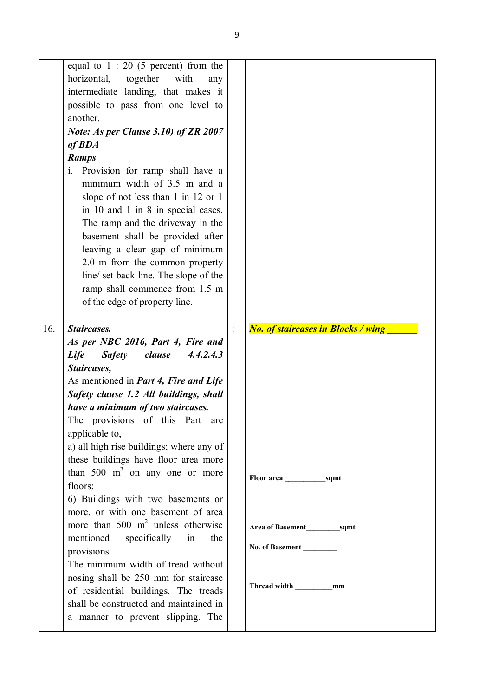|     | equal to $1:20$ (5 percent) from the         |                |                                           |
|-----|----------------------------------------------|----------------|-------------------------------------------|
|     | together<br>horizontal,<br>with<br>any       |                |                                           |
|     | intermediate landing, that makes it          |                |                                           |
|     | possible to pass from one level to           |                |                                           |
|     | another.                                     |                |                                           |
|     | Note: As per Clause 3.10) of ZR 2007         |                |                                           |
|     |                                              |                |                                           |
|     | of <b>BDA</b>                                |                |                                           |
|     | <b>Ramps</b>                                 |                |                                           |
|     | i. Provision for ramp shall have a           |                |                                           |
|     | minimum width of 3.5 m and a                 |                |                                           |
|     | slope of not less than 1 in 12 or 1          |                |                                           |
|     | in 10 and 1 in 8 in special cases.           |                |                                           |
|     | The ramp and the driveway in the             |                |                                           |
|     | basement shall be provided after             |                |                                           |
|     | leaving a clear gap of minimum               |                |                                           |
|     | 2.0 m from the common property               |                |                                           |
|     | line/ set back line. The slope of the        |                |                                           |
|     | ramp shall commence from 1.5 m               |                |                                           |
|     | of the edge of property line.                |                |                                           |
|     |                                              |                |                                           |
| 16. | Staircases.                                  | $\ddot{\cdot}$ | <b>No. of staircases in Blocks / wing</b> |
|     | As per NBC 2016, Part 4, Fire and            |                |                                           |
|     |                                              |                |                                           |
|     |                                              |                |                                           |
|     | Life<br><b>Safety</b><br>clause<br>4.4.2.4.3 |                |                                           |
|     | Staircases,                                  |                |                                           |
|     | As mentioned in <i>Part 4, Fire and Life</i> |                |                                           |
|     | Safety clause 1.2 All buildings, shall       |                |                                           |
|     | have a minimum of two staircases.            |                |                                           |
|     | The provisions of this Part are              |                |                                           |
|     | applicable to,                               |                |                                           |
|     | a) all high rise buildings; where any of     |                |                                           |
|     | these buildings have floor area more         |                |                                           |
|     | than 500 $m^2$ on any one or more            |                |                                           |
|     | floors;                                      |                |                                           |
|     | 6) Buildings with two basements or           |                |                                           |
|     | more, or with one basement of area           |                |                                           |
|     | more than 500 $m2$ unless otherwise          |                |                                           |
|     | mentioned specifically in<br>the             |                |                                           |
|     | provisions.                                  |                | No. of Basement                           |
|     | The minimum width of tread without           |                |                                           |
|     | nosing shall be 250 mm for staircase         |                |                                           |
|     | of residential buildings. The treads         |                | Thread width _____________mm              |
|     | shall be constructed and maintained in       |                |                                           |
|     | a manner to prevent slipping. The            |                |                                           |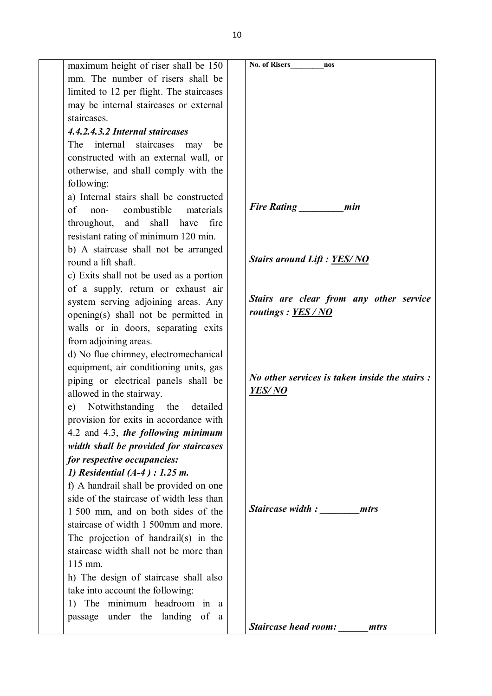| maximum height of riser shall be 150      | No. of Risers<br>nos                                  |
|-------------------------------------------|-------------------------------------------------------|
| mm. The number of risers shall be         |                                                       |
| limited to 12 per flight. The staircases  |                                                       |
| may be internal staircases or external    |                                                       |
| staircases.                               |                                                       |
| 4.4.2.4.3.2 Internal staircases           |                                                       |
| internal staircases<br>The<br>may<br>be   |                                                       |
| constructed with an external wall, or     |                                                       |
| otherwise, and shall comply with the      |                                                       |
| following:                                |                                                       |
| a) Internal stairs shall be constructed   |                                                       |
| $\sigma$<br>combustible materials<br>non- | <b>Fire Rating</b><br>min                             |
| throughout, and shall<br>have<br>fire     |                                                       |
| resistant rating of minimum 120 min.      |                                                       |
| b) A staircase shall not be arranged      |                                                       |
| round a lift shaft.                       | <b>Stairs around Lift: YES/NO</b>                     |
| c) Exits shall not be used as a portion   |                                                       |
| of a supply, return or exhaust air        |                                                       |
| system serving adjoining areas. Any       | Stairs are clear from any other service               |
| opening(s) shall not be permitted in      | routings: YES/NO                                      |
| walls or in doors, separating exits       |                                                       |
|                                           |                                                       |
| from adjoining areas.                     |                                                       |
| d) No flue chimney, electromechanical     |                                                       |
| equipment, air conditioning units, gas    | <i>No other services is taken inside the stairs :</i> |
| piping or electrical panels shall be      | <b>YES/NO</b>                                         |
| allowed in the stairway.                  |                                                       |
| e) Notwithstanding the detailed           |                                                       |
| provision for exits in accordance with    |                                                       |
| 4.2 and 4.3, the following minimum        |                                                       |
| width shall be provided for staircases    |                                                       |
| for respective occupancies:               |                                                       |
| 1) Residential $(A-4)$ : 1.25 m.          |                                                       |
| f) A handrail shall be provided on one    |                                                       |
| side of the staircase of width less than  |                                                       |
| 1 500 mm, and on both sides of the        | <b>Staircase width:</b><br>mtrs                       |
| staircase of width 1 500mm and more.      |                                                       |
| The projection of handrail(s) in the      |                                                       |
| staircase width shall not be more than    |                                                       |
| 115 mm.                                   |                                                       |
| h) The design of staircase shall also     |                                                       |
| take into account the following:          |                                                       |
| 1) The minimum headroom in a              |                                                       |
| passage under the landing of a            |                                                       |
|                                           | <b>Staircase head room:</b><br>mtrs                   |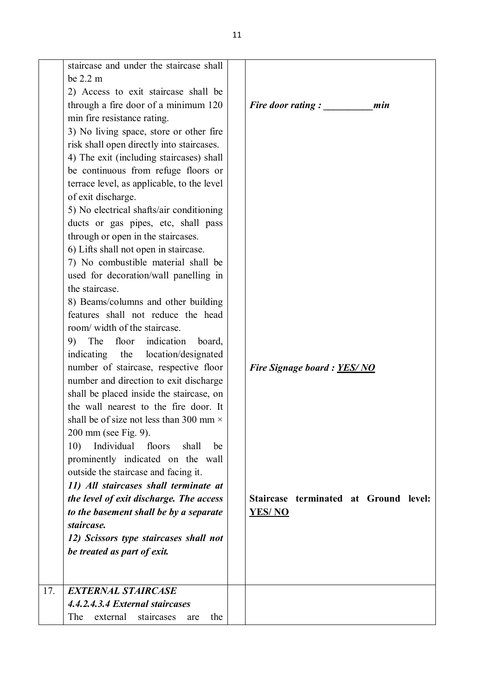|     | staircase and under the staircase shall<br>be 2.2 m |                                       |
|-----|-----------------------------------------------------|---------------------------------------|
|     | 2) Access to exit staircase shall be                |                                       |
|     | through a fire door of a minimum 120                | <b>Fire door rating:</b><br>min       |
|     | min fire resistance rating.                         |                                       |
|     | 3) No living space, store or other fire             |                                       |
|     | risk shall open directly into staircases.           |                                       |
|     | 4) The exit (including staircases) shall            |                                       |
|     | be continuous from refuge floors or                 |                                       |
|     | terrace level, as applicable, to the level          |                                       |
|     | of exit discharge.                                  |                                       |
|     | 5) No electrical shafts/air conditioning            |                                       |
|     | ducts or gas pipes, etc, shall pass                 |                                       |
|     | through or open in the staircases.                  |                                       |
|     | 6) Lifts shall not open in staircase.               |                                       |
|     | 7) No combustible material shall be                 |                                       |
|     | used for decoration/wall panelling in               |                                       |
|     | the staircase.                                      |                                       |
|     | 8) Beams/columns and other building                 |                                       |
|     | features shall not reduce the head                  |                                       |
|     | room/width of the staircase.                        |                                       |
|     | The floor indication<br>9)<br>board,                |                                       |
|     | indicating the location/designated                  |                                       |
|     | number of staircase, respective floor               | Fire Signage board: YES/NO            |
|     | number and direction to exit discharge              |                                       |
|     | shall be placed inside the staircase, on            |                                       |
|     | the wall nearest to the fire door. It               |                                       |
|     | shall be of size not less than 300 mm $\times$      |                                       |
|     | 200 mm (see Fig. 9).                                |                                       |
|     | Individual<br>10)<br>floors<br>shall<br>be          |                                       |
|     | prominently indicated on the wall                   |                                       |
|     | outside the staircase and facing it.                |                                       |
|     | 11) All staircases shall terminate at               |                                       |
|     | the level of exit discharge. The access             | Staircase terminated at Ground level: |
|     | to the basement shall be by a separate              | <u>YES/ NO</u>                        |
|     | staircase.                                          |                                       |
|     | 12) Scissors type staircases shall not              |                                       |
|     | be treated as part of exit.                         |                                       |
|     |                                                     |                                       |
|     |                                                     |                                       |
| 17. | <b>EXTERNAL STAIRCASE</b>                           |                                       |
|     | 4.4.2.4.3.4 External staircases                     |                                       |
|     | The<br>external<br>the<br>staircases<br>are         |                                       |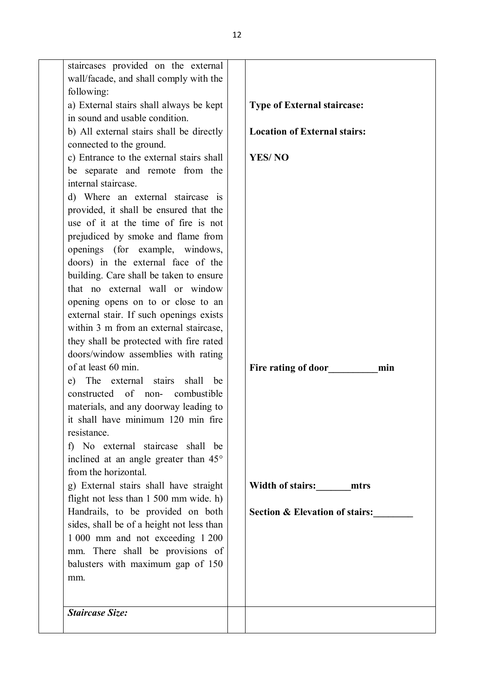| mm.                                                                         |                                           |
|-----------------------------------------------------------------------------|-------------------------------------------|
| mm. There shall be provisions of<br>balusters with maximum gap of 150       |                                           |
| 1 000 mm and not exceeding 1 200                                            |                                           |
| sides, shall be of a height not less than                                   |                                           |
| Handrails, to be provided on both                                           | <b>Section &amp; Elevation of stairs:</b> |
| flight not less than 1 500 mm wide. h)                                      |                                           |
| g) External stairs shall have straight                                      | Width of stairs:<br>mtrs                  |
| from the horizontal.                                                        |                                           |
| inclined at an angle greater than 45°                                       |                                           |
| f) No external staircase shall be                                           |                                           |
| resistance.                                                                 |                                           |
| materials, and any doorway leading to<br>it shall have minimum 120 min fire |                                           |
| constructed of non-<br>combustible                                          |                                           |
| e) The external stairs<br>shall<br>be                                       |                                           |
|                                                                             | Fire rating of door<br>min                |
| of at least 60 min.                                                         |                                           |
| doors/window assemblies with rating                                         |                                           |
| they shall be protected with fire rated                                     |                                           |
| within 3 m from an external staircase,                                      |                                           |
| external stair. If such openings exists                                     |                                           |
| opening opens on to or close to an                                          |                                           |
| that no external wall or window                                             |                                           |
| building. Care shall be taken to ensure                                     |                                           |
| doors) in the external face of the                                          |                                           |
| openings (for example, windows,                                             |                                           |
| prejudiced by smoke and flame from                                          |                                           |
| use of it at the time of fire is not                                        |                                           |
| provided, it shall be ensured that the                                      |                                           |
| d) Where an external staircase is                                           |                                           |
| internal staircase.                                                         |                                           |
| be separate and remote from the                                             |                                           |
| c) Entrance to the external stairs shall                                    | <b>YES/NO</b>                             |
| connected to the ground.                                                    |                                           |
| b) All external stairs shall be directly                                    | <b>Location of External stairs:</b>       |
| in sound and usable condition.                                              |                                           |
| a) External stairs shall always be kept                                     | <b>Type of External staircase:</b>        |
| following:                                                                  |                                           |
| wall/facade, and shall comply with the                                      |                                           |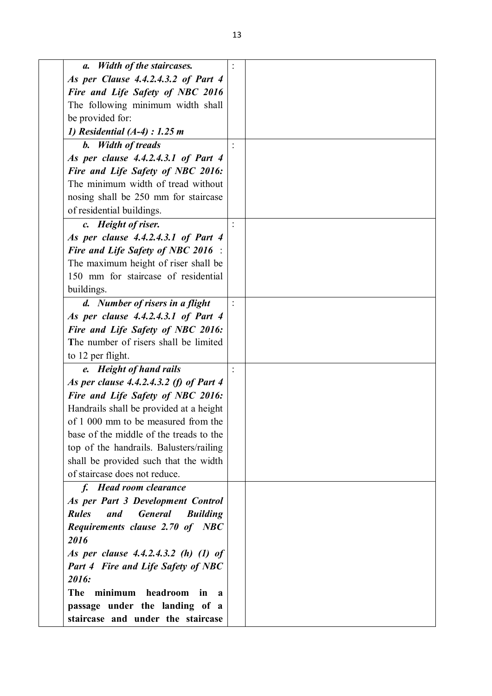| <b>Width of the staircases.</b><br>а.                    |  |
|----------------------------------------------------------|--|
| As per Clause 4.4.2.4.3.2 of Part 4                      |  |
| Fire and Life Safety of NBC 2016                         |  |
| The following minimum width shall                        |  |
| be provided for:                                         |  |
| 1) Residential $(A-4)$ : 1.25 m                          |  |
| <b>b.</b> Width of treads                                |  |
| As per clause 4.4.2.4.3.1 of Part 4                      |  |
| Fire and Life Safety of NBC 2016:                        |  |
| The minimum width of tread without                       |  |
| nosing shall be 250 mm for staircase                     |  |
| of residential buildings.                                |  |
| c. Height of riser.                                      |  |
| As per clause 4.4.2.4.3.1 of Part 4                      |  |
| <b>Fire and Life Safety of NBC 2016</b> :                |  |
| The maximum height of riser shall be                     |  |
| 150 mm for staircase of residential                      |  |
| buildings.                                               |  |
| d. Number of risers in a flight                          |  |
| As per clause 4.4.2.4.3.1 of Part 4                      |  |
| Fire and Life Safety of NBC 2016:                        |  |
| The number of risers shall be limited                    |  |
| to 12 per flight.                                        |  |
| e. Height of hand rails                                  |  |
| As per clause 4.4.2.4.3.2 (f) of Part 4                  |  |
| Fire and Life Safety of NBC 2016:                        |  |
| Handrails shall be provided at a height                  |  |
| of 1 000 mm to be measured from the                      |  |
| base of the middle of the treads to the                  |  |
| top of the handrails. Balusters/railing                  |  |
| shall be provided such that the width                    |  |
| of staircase does not reduce.                            |  |
| f. Head room clearance                                   |  |
| As per Part 3 Development Control                        |  |
| <b>Rules</b><br><b>General</b><br>and<br><b>Building</b> |  |
| Requirements clause 2.70 of NBC                          |  |
| 2016                                                     |  |
| As per clause 4.4.2.4.3.2 (h) (1) of                     |  |
| <b>Part 4 Fire and Life Safety of NBC</b>                |  |
| 2016:                                                    |  |
| The<br>minimum<br>headroom<br>in<br>$\mathbf a$          |  |
| passage under the landing of a                           |  |
| staircase and under the staircase                        |  |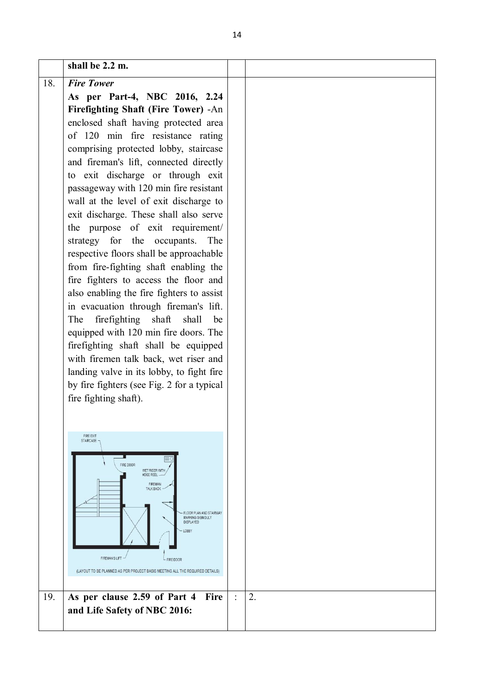|     | shall be 2.2 m.                                                              |    |
|-----|------------------------------------------------------------------------------|----|
| 18. | <b>Fire Tower</b>                                                            |    |
|     | As per Part-4, NBC 2016, 2.24                                                |    |
|     | Firefighting Shaft (Fire Tower) -An                                          |    |
|     | enclosed shaft having protected area                                         |    |
|     | of 120 min fire resistance rating                                            |    |
|     | comprising protected lobby, staircase                                        |    |
|     | and fireman's lift, connected directly                                       |    |
|     | to exit discharge or through exit                                            |    |
|     | passageway with 120 min fire resistant                                       |    |
|     | wall at the level of exit discharge to                                       |    |
|     | exit discharge. These shall also serve                                       |    |
|     | the purpose of exit requirement/                                             |    |
|     | strategy for the occupants.<br>The                                           |    |
|     | respective floors shall be approachable                                      |    |
|     | from fire-fighting shaft enabling the                                        |    |
|     | fire fighters to access the floor and                                        |    |
|     | also enabling the fire fighters to assist                                    |    |
|     | in evacuation through fireman's lift.                                        |    |
|     | firefighting shaft shall<br>The<br>be                                        |    |
|     | equipped with 120 min fire doors. The                                        |    |
|     | firefighting shaft shall be equipped                                         |    |
|     | with firemen talk back, wet riser and                                        |    |
|     | landing valve in its lobby, to fight fire                                    |    |
|     | by fire fighters (see Fig. 2 for a typical                                   |    |
|     | fire fighting shaft).                                                        |    |
|     |                                                                              |    |
|     |                                                                              |    |
|     | <b>FIRE EXIT</b><br>STAIRCASE                                                |    |
|     |                                                                              |    |
|     | FIRE DOOR<br>WET RISER WITH                                                  |    |
|     | HOSE REEL<br>FIREMAN                                                         |    |
|     | <b>TALK BACK</b>                                                             |    |
|     | FLOOR PLAN AND STAIRWAY                                                      |    |
|     | MARKING SIGN DULY<br><b>DISPLAYED</b>                                        |    |
|     | <b>LOBBY</b>                                                                 |    |
|     |                                                                              |    |
|     | FIREMAN'S LIFT<br>FIRE DOOR                                                  |    |
|     | (LAYOUT TO BE PLANNED AS PER PROJECT BASIS MEETING ALL THE REQUIRED DETAILS) |    |
|     |                                                                              |    |
| 19. | As per clause 2.59 of Part 4<br>Fire                                         | 2. |
|     | and Life Safety of NBC 2016:                                                 |    |
|     |                                                                              |    |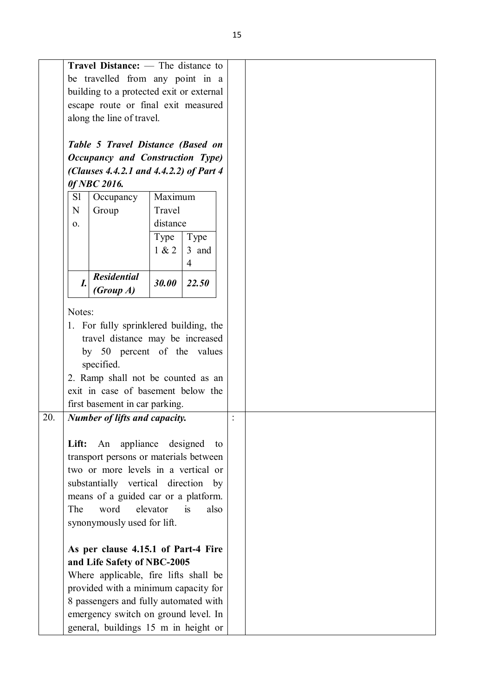|     |                    | Travel Distance: — The distance to                      |                    |                |      |  |  |  |
|-----|--------------------|---------------------------------------------------------|--------------------|----------------|------|--|--|--|
|     |                    | be travelled from any point in a                        |                    |                |      |  |  |  |
|     |                    | building to a protected exit or external                |                    |                |      |  |  |  |
|     |                    | escape route or final exit measured                     |                    |                |      |  |  |  |
|     |                    |                                                         |                    |                |      |  |  |  |
|     |                    | along the line of travel.                               |                    |                |      |  |  |  |
|     |                    |                                                         |                    |                |      |  |  |  |
|     |                    | Table 5 Travel Distance (Based on                       |                    |                |      |  |  |  |
|     |                    | Occupancy and Construction Type)                        |                    |                |      |  |  |  |
|     |                    | (Clauses 4.4.2.1 and 4.4.2.2) of Part 4<br>0f NBC 2016. |                    |                |      |  |  |  |
|     | S1                 |                                                         | Maximum            |                |      |  |  |  |
|     | N                  | Occupancy                                               |                    |                |      |  |  |  |
|     |                    | Group                                                   | Travel             |                |      |  |  |  |
|     | 0.                 |                                                         | distance           |                |      |  |  |  |
|     |                    |                                                         | Type               | Type           |      |  |  |  |
|     |                    |                                                         | 1 & 2              | 3 and          |      |  |  |  |
|     |                    |                                                         |                    | $\overline{4}$ |      |  |  |  |
|     | $\boldsymbol{I}$ . | <b>Residential</b>                                      | 30.00              | 22.50          |      |  |  |  |
|     |                    | (Group A)                                               |                    |                |      |  |  |  |
|     | Notes:             |                                                         |                    |                |      |  |  |  |
|     |                    | 1. For fully sprinklered building, the                  |                    |                |      |  |  |  |
|     |                    | travel distance may be increased                        |                    |                |      |  |  |  |
|     |                    | by 50 percent of the values                             |                    |                |      |  |  |  |
|     |                    | specified.                                              |                    |                |      |  |  |  |
|     |                    | 2. Ramp shall not be counted as an                      |                    |                |      |  |  |  |
|     |                    | exit in case of basement below the                      |                    |                |      |  |  |  |
|     |                    | first basement in car parking.                          |                    |                |      |  |  |  |
| 20. |                    | Number of lifts and capacity.                           |                    |                |      |  |  |  |
|     |                    |                                                         |                    |                |      |  |  |  |
|     |                    | Lift: An                                                | appliance designed |                | to   |  |  |  |
|     |                    | transport persons or materials between                  |                    |                |      |  |  |  |
|     |                    | two or more levels in a vertical or                     |                    |                |      |  |  |  |
|     |                    | substantially vertical direction by                     |                    |                |      |  |  |  |
|     |                    | means of a guided car or a platform.                    |                    |                |      |  |  |  |
|     | The                | word                                                    | elevator           | is             | also |  |  |  |
|     |                    | synonymously used for lift.                             |                    |                |      |  |  |  |
|     |                    |                                                         |                    |                |      |  |  |  |
|     |                    | As per clause 4.15.1 of Part-4 Fire                     |                    |                |      |  |  |  |
|     |                    | and Life Safety of NBC-2005                             |                    |                |      |  |  |  |
|     |                    | Where applicable, fire lifts shall be                   |                    |                |      |  |  |  |
|     |                    | provided with a minimum capacity for                    |                    |                |      |  |  |  |
|     |                    | 8 passengers and fully automated with                   |                    |                |      |  |  |  |
|     |                    | emergency switch on ground level. In                    |                    |                |      |  |  |  |
|     |                    | general, buildings 15 m in height or                    |                    |                |      |  |  |  |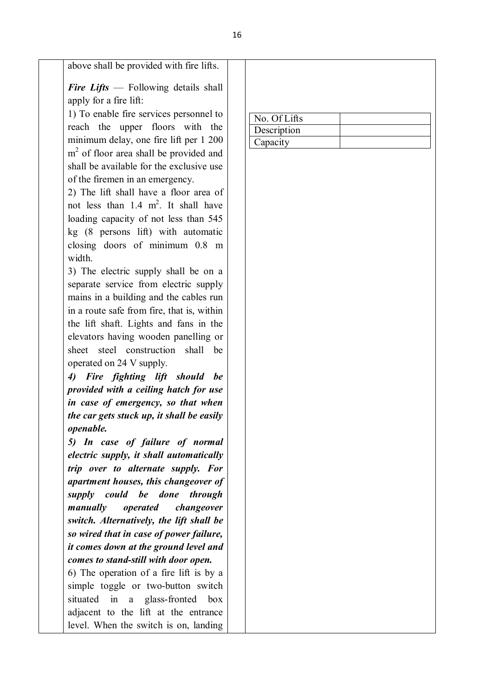above shall be provided with fire lifts.

*Fire Lifts* — Following details shall apply for a fire lift:

1) To enable fire services personnel to reach the upper floors with the minimum delay, one fire lift per 1 200 m<sup>2</sup> of floor area shall be provided and shall be available for the exclusive use of the firemen in an emergency.

2) The lift shall have a floor area of not less than  $1.4 \text{ m}^2$ . It shall have loading capacity of not less than 545 kg (8 persons lift) with automatic closing doors of minimum 0.8 m width.

3) The electric supply shall be on a separate service from electric supply mains in a building and the cables run in a route safe from fire, that is, within the lift shaft. Lights and fans in the elevators having wooden panelling or sheet steel construction shall be operated on 24 V supply.

*4) Fire fighting lift should be provided with a ceiling hatch for use in case of emergency, so that when the car gets stuck up, it shall be easily openable.*

*5) In case of failure of normal electric supply, it shall automatically trip over to alternate supply. For apartment houses, this changeover of supply could be done through manually operated changeover switch. Alternatively, the lift shall be so wired that in case of power failure, it comes down at the ground level and comes to stand-still with door open.*

6) The operation of a fire lift is by a simple toggle or two-button switch situated in a glass-fronted box adjacent to the lift at the entrance level. When the switch is on, landing

| No. Of Lifts |  |
|--------------|--|
| Description  |  |
| Capacity     |  |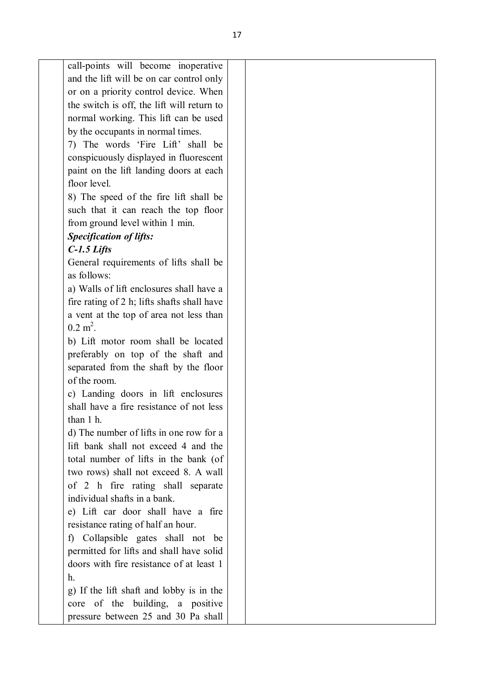or on a priority control device. When the switch is off, the lift will return to normal working. This lift can be used by the occupants in normal times. 7) The words 'Fire Lift' shall be conspicuously displayed in fluorescent paint on the lift landing doors at each floor level. 8) The speed of the fire lift shall be such that it can reach the top floor from ground level within 1 min. *Specification of lifts: C-1.5 Lifts* General requirements of lifts shall be as follows: a) Walls of lift enclosures shall have a fire rating of 2 h; lifts shafts shall have a vent at the top of area not less than  $0.2 \text{ m}^2$ . b) Lift motor room shall be located preferably on top of the shaft and separated from the shaft by the floor of the room. c) Landing doors in lift enclosures shall have a fire resistance of not less than 1 h. d) The number of lifts in one row for a lift bank shall not exceed 4 and the total number of lifts in the bank (of two rows) shall not exceed 8. A wall of 2 h fire rating shall separate individual shafts in a bank. e) Lift car door shall have a fire resistance rating of half an hour. f) Collapsible gates shall not be permitted for lifts and shall have solid doors with fire resistance of at least 1 h. g) If the lift shaft and lobby is in the core of the building, a positive pressure between 25 and 30 Pa shall

call-points will become inoperative and the lift will be on car control only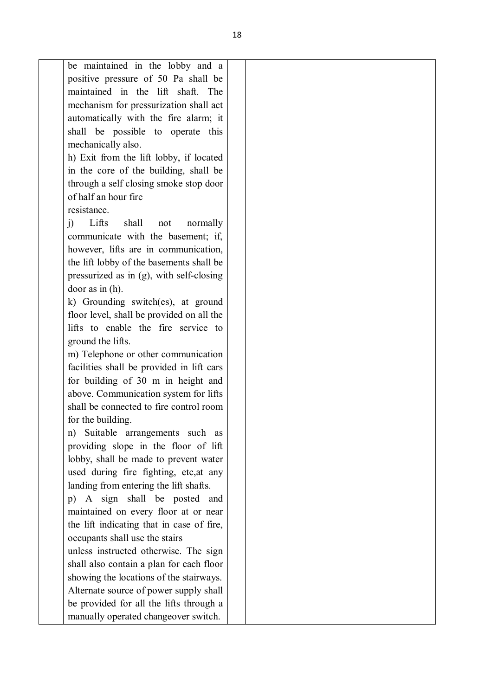be maintained in the lobby and a positive pressure of 50 Pa shall be maintained in the lift shaft. The mechanism for pressurization shall act automatically with the fire alarm; it shall be possible to operate this mechanically also. h) Exit from the lift lobby, if located in the core of the building, shall be

through a self closing smoke stop door of half an hour fire resistance.

j) Lifts shall not normally communicate with the basement; if, however, lifts are in communication, the lift lobby of the basements shall be pressurized as in (g), with self-closing door as in (h).

k) Grounding switch(es), at ground floor level, shall be provided on all the lifts to enable the fire service to ground the lifts.

m) Telephone or other communication facilities shall be provided in lift cars for building of 30 m in height and above. Communication system for lifts shall be connected to fire control room for the building.

n) Suitable arrangements such as providing slope in the floor of lift lobby, shall be made to prevent water used during fire fighting, etc,at any landing from entering the lift shafts.

p) A sign shall be posted and maintained on every floor at or near the lift indicating that in case of fire, occupants shall use the stairs

unless instructed otherwise. The sign shall also contain a plan for each floor showing the locations of the stairways. Alternate source of power supply shall be provided for all the lifts through a manually operated changeover switch.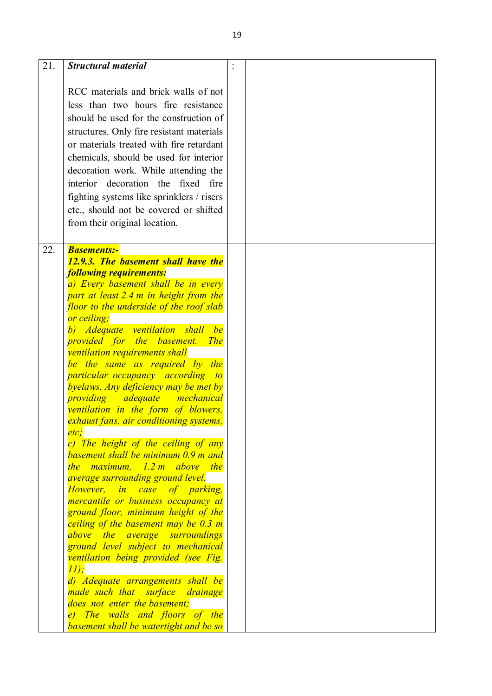| 21. | <b>Structural material</b>                                                        |  |
|-----|-----------------------------------------------------------------------------------|--|
|     | RCC materials and brick walls of not                                              |  |
|     | less than two hours fire resistance<br>should be used for the construction of     |  |
|     | structures. Only fire resistant materials                                         |  |
|     | or materials treated with fire retardant                                          |  |
|     | chemicals, should be used for interior                                            |  |
|     | decoration work. While attending the                                              |  |
|     | interior decoration the fixed fire<br>fighting systems like sprinklers / risers   |  |
|     | etc., should not be covered or shifted                                            |  |
|     | from their original location.                                                     |  |
|     |                                                                                   |  |
| 22. | <b>Basements:-</b>                                                                |  |
|     | 12.9.3. The basement shall have the<br><b>following requirements:</b>             |  |
|     | a) Every basement shall be in every                                               |  |
|     | part at least 2.4 m in height from the                                            |  |
|     | floor to the underside of the roof slab                                           |  |
|     | or ceiling;<br>b) Adequate ventilation shall be                                   |  |
|     | <i>provided for the basement.</i><br><b>The</b>                                   |  |
|     | ventilation requirements shall                                                    |  |
|     | be the same as required by the<br><i>particular occupancy according</i><br>$-to$  |  |
|     | byelaws. Any deficiency may be met by                                             |  |
|     | providing<br><b>adequate</b><br><u>mechanical</u>                                 |  |
|     | ventilation in the form of blowers,<br>exhaust fans, air conditioning systems,    |  |
|     | etc.                                                                              |  |
|     | c) The height of the ceiling of any                                               |  |
|     | basement shall be minimum 0.9 m and<br>the maximum, $1.2 \text{ m}$ above the     |  |
|     | <i>average surrounding ground level.</i>                                          |  |
|     | However, in case of parking,                                                      |  |
|     | <i>mercantile or business occupancy at</i><br>ground floor, minimum height of the |  |
|     | ceiling of the basement may be 0.3 m                                              |  |
|     | above the average surroundings                                                    |  |
|     | ground level subject to mechanical                                                |  |
|     | ventilation being provided (see Fig.<br>11);                                      |  |
|     | d) Adequate arrangements shall be                                                 |  |
|     | made such that surface drainage                                                   |  |
|     | does not enter the basement;<br>e) The walls and floors of the                    |  |
|     | basement shall be watertight and be so                                            |  |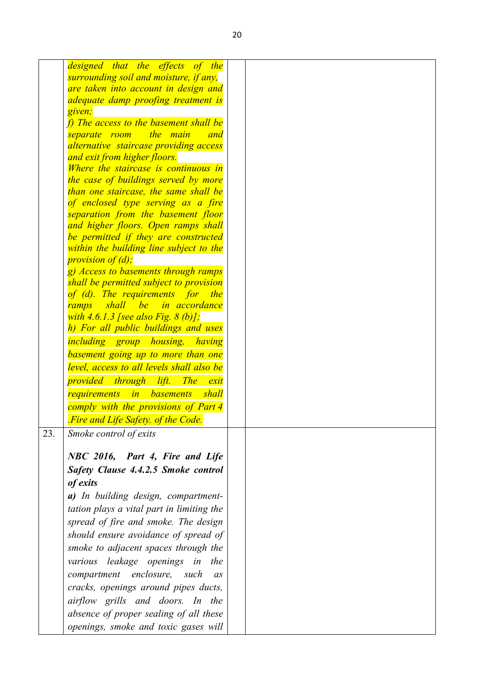|     | designed that the effects of the                                                |
|-----|---------------------------------------------------------------------------------|
|     | surrounding soil and moisture, if any,                                          |
|     | are taken into account in design and                                            |
|     | adequate damp proofing treatment is<br>given;                                   |
|     | $f$ ) The access to the basement shall be                                       |
|     | the main<br>separate room<br>and                                                |
|     |                                                                                 |
|     | alternative staircase providing access                                          |
|     | and exit from higher floors.<br>Where the staircase is continuous in            |
|     | the case of buildings served by more                                            |
|     | than one staircase, the same shall be                                           |
|     | of enclosed type serving as a fire                                              |
|     | separation from the basement floor                                              |
|     | and higher floors. Open ramps shall                                             |
|     |                                                                                 |
|     | be permitted if they are constructed<br>within the building line subject to the |
|     | <i>provision of (d);</i>                                                        |
|     | g) Access to basements through ramps                                            |
|     | shall be permitted subject to provision                                         |
|     | of (d). The requirements for the                                                |
|     | shall be in accordance<br>ramps                                                 |
|     | with $4.6.1.3$ [see also Fig. $8$ (b)];                                         |
|     | h) For all public buildings and uses                                            |
|     | <i>including group housing, having</i>                                          |
|     |                                                                                 |
|     | basement going up to more than one                                              |
|     | level, access to all levels shall also be                                       |
|     | <i>provided through lift.</i><br><b>The</b><br>exit                             |
|     | <i>in basements</i><br>shall<br>requirements                                    |
|     | comply with the provisions of Part 4                                            |
|     | Fire and Life Safety, of the Code.                                              |
| 23. | Smoke control of exits                                                          |
|     |                                                                                 |
|     | NBC 2016, Part 4, Fire and Life                                                 |
|     | Safety Clause 4.4.2.5 Smoke control                                             |
|     |                                                                                 |
|     | of exits                                                                        |
|     | a) In building design, compartment-                                             |
|     | tation plays a vital part in limiting the                                       |
|     | spread of fire and smoke. The design                                            |
|     | should ensure avoidance of spread of                                            |
|     | smoke to adjacent spaces through the                                            |
|     | various leakage openings in<br>the                                              |
|     |                                                                                 |
|     | compartment enclosure,<br>such<br>as                                            |
|     | cracks, openings around pipes ducts,                                            |
|     | airflow grills and doors. In the                                                |
|     | absence of proper sealing of all these                                          |
|     | openings, smoke and toxic gases will                                            |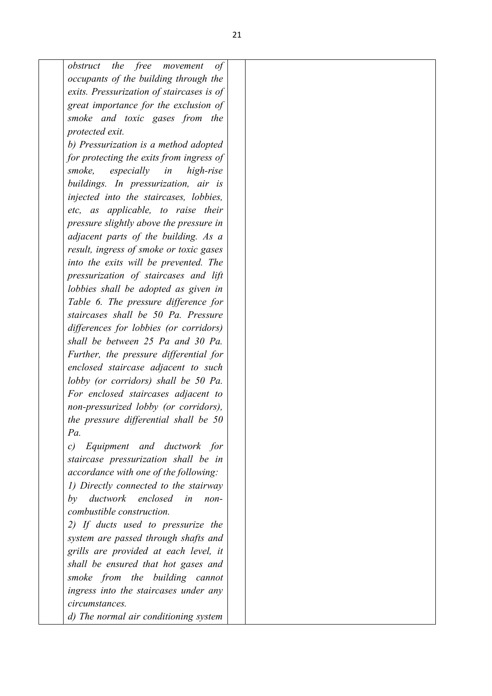| free<br>obstruct<br>the<br>movement<br>of |
|-------------------------------------------|
| occupants of the building through the     |
| exits. Pressurization of staircases is of |
| great importance for the exclusion of     |
| smoke and toxic gases from the            |
| protected exit.                           |
| b) Pressurization is a method adopted     |
| for protecting the exits from ingress of  |
| smoke,<br>especially in<br>high-rise      |
| buildings. In pressurization, air is      |
| injected into the staircases, lobbies,    |
| etc, as applicable, to raise their        |
| pressure slightly above the pressure in   |
| adjacent parts of the building. As a      |
| result, ingress of smoke or toxic gases   |
| into the exits will be prevented. The     |
| pressurization of staircases and lift     |
| lobbies shall be adopted as given in      |
| Table 6. The pressure difference for      |
| staircases shall be 50 Pa. Pressure       |
| differences for lobbies (or corridors)    |
| shall be between 25 Pa and 30 Pa.         |
| Further, the pressure differential for    |
| enclosed staircase adjacent to such       |
| lobby (or corridors) shall be 50 Pa.      |
| For enclosed staircases adjacent to       |
| non-pressurized lobby (or corridors),     |
| the pressure differential shall be 50     |
| Pa.                                       |
| Equipment and ductwork for<br>c)          |
| staircase pressurization shall be in      |
| accordance with one of the following:     |
| 1) Directly connected to the stairway     |
| ductwork enclosed<br>by<br>in<br>non-     |
| combustible construction.                 |
| 2) If ducts used to pressurize the        |
| system are passed through shafts and      |
| grills are provided at each level, it     |
| shall be ensured that hot gases and       |
| smoke from the building cannot            |
| ingress into the staircases under any     |
| circumstances.                            |
| d) The normal air conditioning system     |
|                                           |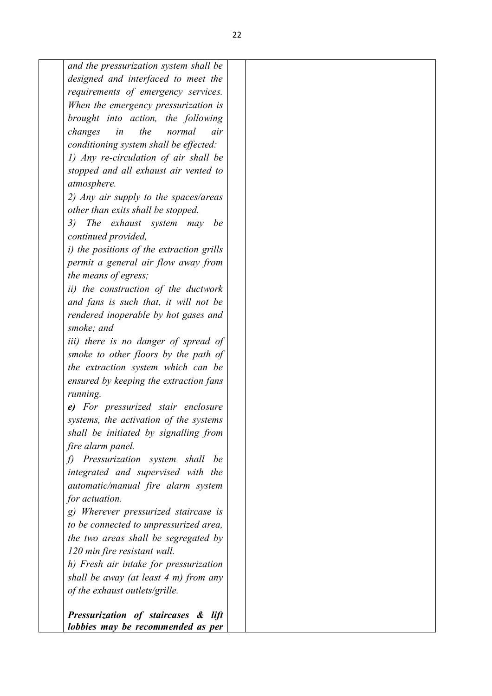*and the pressurization system shall be designed and interfaced to meet the requirements of emergency services. When the emergency pressurization is brought into action, the following changes in the normal air conditioning system shall be effected: 1) Any re-circulation of air shall be stopped and all exhaust air vented to atmosphere. 2) Any air supply to the spaces/areas other than exits shall be stopped.* 

*3) The exhaust system may be continued provided,*

*i) the positions of the extraction grills permit a general air flow away from the means of egress;* 

*ii) the construction of the ductwork and fans is such that, it will not be rendered inoperable by hot gases and smoke; and* 

*iii) there is no danger of spread of smoke to other floors by the path of the extraction system which can be ensured by keeping the extraction fans running.* 

*e) For pressurized stair enclosure systems, the activation of the systems shall be initiated by signalling from fire alarm panel.* 

*f) Pressurization system shall be integrated and supervised with the automatic/manual fire alarm system for actuation.* 

*g) Wherever pressurized staircase is to be connected to unpressurized area, the two areas shall be segregated by 120 min fire resistant wall.* 

*h) Fresh air intake for pressurization shall be away (at least 4 m) from any of the exhaust outlets/grille.*

*Pressurization of staircases & lift lobbies may be recommended as per*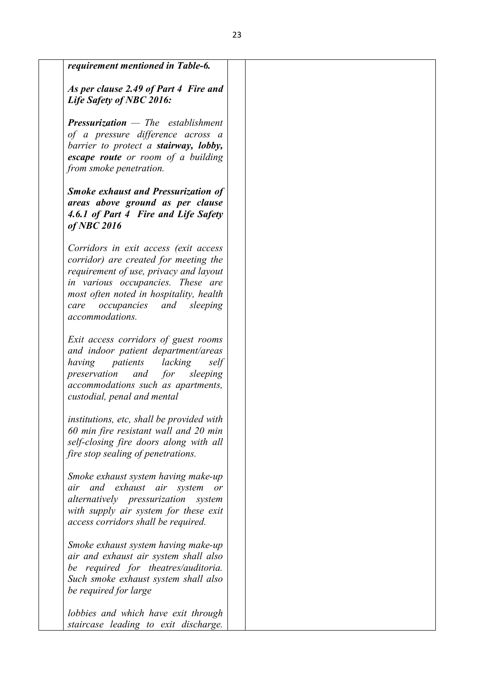| requirement mentioned in Table-6.                                                                                                                                                                                                                                         |  |
|---------------------------------------------------------------------------------------------------------------------------------------------------------------------------------------------------------------------------------------------------------------------------|--|
| As per clause 2.49 of Part 4 Fire and<br>Life Safety of NBC 2016:                                                                                                                                                                                                         |  |
| <b>Pressurization</b> $-$ The establishment<br>of a pressure difference across a<br>barrier to protect a stairway, lobby,<br>escape route or room of a building<br>from smoke penetration.                                                                                |  |
| <b>Smoke exhaust and Pressurization of</b><br>areas above ground as per clause<br>4.6.1 of Part 4 Fire and Life Safety<br>$of$ NBC 2016                                                                                                                                   |  |
| Corridors in exit access (exit access<br>corridor) are created for meeting the<br>requirement of use, privacy and layout<br>in various occupancies. These are<br>most often noted in hospitality, health<br><i>occupancies</i> and<br>sleeping<br>care<br>accommodations. |  |
| Exit access corridors of guest rooms<br>and indoor patient department/areas<br>patients<br>lacking<br>self<br>having<br>preservation<br>and<br>for sleeping<br>accommodations such as apartments,<br>custodial, penal and mental                                          |  |
| institutions, etc, shall be provided with<br>60 min fire resistant wall and 20 min<br>self-closing fire doors along with all<br>fire stop sealing of penetrations.                                                                                                        |  |
| Smoke exhaust system having make-up<br>air and exhaust air system<br><i>or</i><br>alternatively pressurization<br>system<br>with supply air system for these exit<br>access corridors shall be required.                                                                  |  |
| Smoke exhaust system having make-up<br>air and exhaust air system shall also<br>be required for theatres/auditoria.<br>Such smoke exhaust system shall also<br>be required for large                                                                                      |  |
| lobbies and which have exit through<br>staircase leading to exit discharge.                                                                                                                                                                                               |  |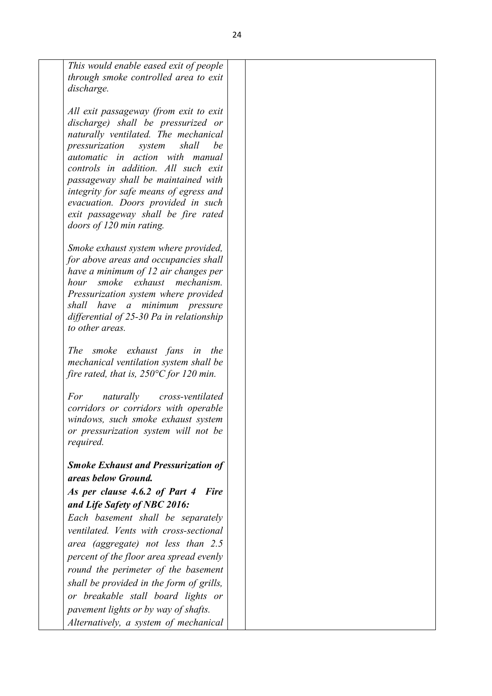*This would enable eased exit of people through smoke controlled area to exit discharge.* 

*All exit passageway (from exit to exit discharge) shall be pressurized or naturally ventilated. The mechanical pressurization system shall be automatic in action with manual controls in addition. All such exit passageway shall be maintained with integrity for safe means of egress and evacuation. Doors provided in such exit passageway shall be fire rated doors of 120 min rating.* 

*Smoke exhaust system where provided, for above areas and occupancies shall have a minimum of 12 air changes per hour smoke exhaust mechanism. Pressurization system where provided shall have a minimum pressure differential of 25-30 Pa in relationship to other areas.* 

*The smoke exhaust fans in the mechanical ventilation system shall be fire rated, that is, 250°C for 120 min.* 

*For naturally cross-ventilated corridors or corridors with operable windows, such smoke exhaust system or pressurization system will not be required.*

## *Smoke Exhaust and Pressurization of areas below Ground.*

#### *As per clause 4.6.2 of Part 4 Fire and Life Safety of NBC 2016:*

*Each basement shall be separately ventilated. Vents with cross-sectional area (aggregate) not less than 2.5 percent of the floor area spread evenly round the perimeter of the basement shall be provided in the form of grills, or breakable stall board lights or pavement lights or by way of shafts. Alternatively, a system of mechanical*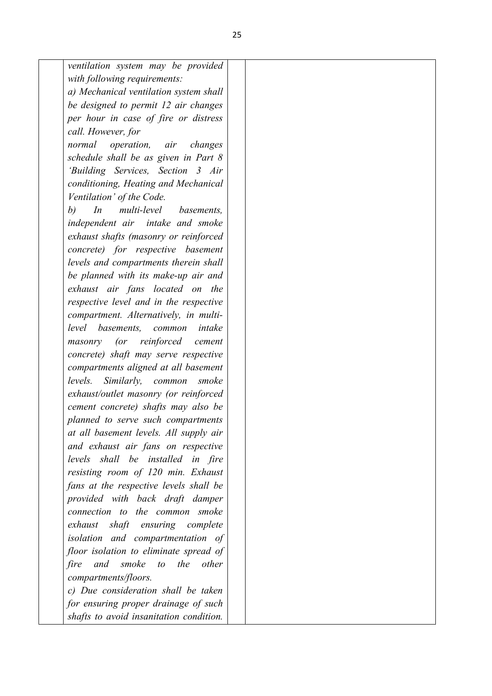| ventilation system may be provided               |  |  |
|--------------------------------------------------|--|--|
| with following requirements:                     |  |  |
| a) Mechanical ventilation system shall           |  |  |
| be designed to permit 12 air changes             |  |  |
| per hour in case of fire or distress             |  |  |
| call. However, for                               |  |  |
| normal operation, air<br>changes                 |  |  |
| schedule shall be as given in Part 8             |  |  |
| 'Building Services, Section 3 Air                |  |  |
| conditioning, Heating and Mechanical             |  |  |
| Ventilation' of the Code.                        |  |  |
| b)<br>In<br>multi-level basements,               |  |  |
| independent air intake and smoke                 |  |  |
| exhaust shafts (masonry or reinforced            |  |  |
| concrete) for respective basement                |  |  |
| levels and compartments therein shall            |  |  |
| be planned with its make-up air and              |  |  |
| exhaust air fans located on the                  |  |  |
| respective level and in the respective           |  |  |
| compartment. Alternatively, in multi-            |  |  |
| level basements, common<br>intake                |  |  |
| reinforced<br>(<br>masonry<br>cement             |  |  |
| concrete) shaft may serve respective             |  |  |
| compartments aligned at all basement             |  |  |
| levels.<br>Similarly, common<br>smoke            |  |  |
| exhaust/outlet masonry (or reinforced            |  |  |
| cement concrete) shafts may also be              |  |  |
| planned to serve such compartments               |  |  |
| at all basement levels. All supply air           |  |  |
| and exhaust air fans on respective               |  |  |
| levels shall be installed in fire                |  |  |
| resisting room of 120 min. Exhaust               |  |  |
| fans at the respective levels shall be           |  |  |
| provided with back draft damper                  |  |  |
| connection to the common smoke                   |  |  |
| exhaust shaft ensuring complete                  |  |  |
| isolation and compartmentation of                |  |  |
| floor isolation to eliminate spread of           |  |  |
| the<br>and<br>smoke<br>other<br>fire<br>$\omega$ |  |  |
| compartments/floors.                             |  |  |
| c) Due consideration shall be taken              |  |  |
| for ensuring proper drainage of such             |  |  |
| shafts to avoid insanitation condition.          |  |  |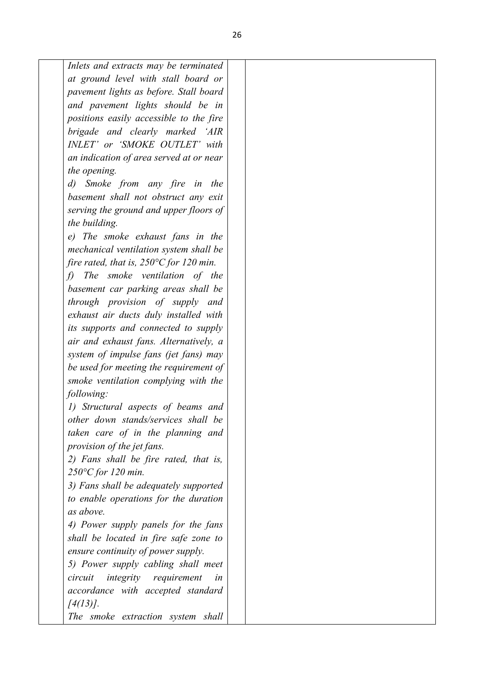| Inlets and extracts may be terminated              |  |
|----------------------------------------------------|--|
| at ground level with stall board or                |  |
| pavement lights as before. Stall board             |  |
| and pavement lights should be in                   |  |
| positions easily accessible to the fire            |  |
| brigade and clearly marked 'AIR                    |  |
| INLET' or 'SMOKE OUTLET' with                      |  |
| an indication of area served at or near            |  |
| the opening.                                       |  |
| Smoke from any fire in<br>$\left( d\right)$<br>the |  |
| basement shall not obstruct any exit               |  |
|                                                    |  |
| serving the ground and upper floors of             |  |
| the building.                                      |  |
| e) The smoke exhaust fans in the                   |  |
| mechanical ventilation system shall be             |  |
| fire rated, that is, $250^{\circ}$ C for 120 min.  |  |
| The smoke ventilation of the<br>f)                 |  |
| basement car parking areas shall be                |  |
| through provision of supply and                    |  |
| exhaust air ducts duly installed with              |  |
| its supports and connected to supply               |  |
| air and exhaust fans. Alternatively, a             |  |
| system of impulse fans (jet fans) may              |  |
| be used for meeting the requirement of             |  |
| smoke ventilation complying with the               |  |
| following:                                         |  |
| 1) Structural aspects of beams and                 |  |
| other down stands/services shall be                |  |
| taken care of in the planning and                  |  |
| provision of the jet fans.                         |  |
| 2) Fans shall be fire rated, that is,              |  |
| $250^{\circ}$ C for 120 min.                       |  |
| 3) Fans shall be adequately supported              |  |
| to enable operations for the duration              |  |
| as above.                                          |  |
| 4) Power supply panels for the fans                |  |
| shall be located in fire safe zone to              |  |
| ensure continuity of power supply.                 |  |
| 5) Power supply cabling shall meet                 |  |
| <i>integrity</i> requirement<br>circuit<br>in      |  |
| accordance with accepted standard                  |  |
|                                                    |  |
| $[4(13)]$ .                                        |  |
| The smoke extraction system shall                  |  |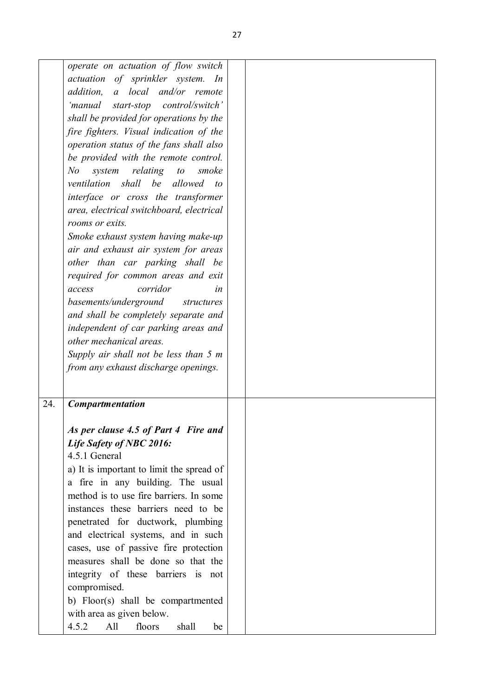|     | operate on actuation of flow switch<br>actuation of sprinkler system. In<br>a local and/or remote<br>addition,<br>'manual start-stop control/switch'<br>shall be provided for operations by the<br>fire fighters. Visual indication of the<br>operation status of the fans shall also<br>be provided with the remote control.<br>relating<br>N <sub>o</sub><br>system<br>to<br>smoke<br>ventilation shall be allowed<br>$\iota$<br>interface or cross the transformer<br>area, electrical switchboard, electrical<br>rooms or exits.<br>Smoke exhaust system having make-up<br>air and exhaust air system for areas<br>other than car parking shall be<br>required for common areas and exit<br>corridor<br>access<br>in<br>basements/underground structures<br>and shall be completely separate and<br>independent of car parking areas and<br>other mechanical areas.<br>Supply air shall not be less than 5 m |  |
|-----|------------------------------------------------------------------------------------------------------------------------------------------------------------------------------------------------------------------------------------------------------------------------------------------------------------------------------------------------------------------------------------------------------------------------------------------------------------------------------------------------------------------------------------------------------------------------------------------------------------------------------------------------------------------------------------------------------------------------------------------------------------------------------------------------------------------------------------------------------------------------------------------------------------------|--|
|     | from any exhaust discharge openings.                                                                                                                                                                                                                                                                                                                                                                                                                                                                                                                                                                                                                                                                                                                                                                                                                                                                             |  |
|     |                                                                                                                                                                                                                                                                                                                                                                                                                                                                                                                                                                                                                                                                                                                                                                                                                                                                                                                  |  |
|     |                                                                                                                                                                                                                                                                                                                                                                                                                                                                                                                                                                                                                                                                                                                                                                                                                                                                                                                  |  |
| 24. | <b>Compartmentation</b>                                                                                                                                                                                                                                                                                                                                                                                                                                                                                                                                                                                                                                                                                                                                                                                                                                                                                          |  |
|     | As per clause 4.5 of Part 4 Fire and<br>Life Safety of NBC 2016:<br>4.5.1 General<br>a) It is important to limit the spread of<br>a fire in any building. The usual<br>method is to use fire barriers. In some<br>instances these barriers need to be<br>penetrated for ductwork, plumbing<br>and electrical systems, and in such<br>cases, use of passive fire protection<br>measures shall be done so that the<br>integrity of these barriers is not<br>compromised.<br>b) Floor(s) shall be compartmented<br>with area as given below.                                                                                                                                                                                                                                                                                                                                                                        |  |
|     | 4.5.2<br>All<br>floors<br>shall<br>be                                                                                                                                                                                                                                                                                                                                                                                                                                                                                                                                                                                                                                                                                                                                                                                                                                                                            |  |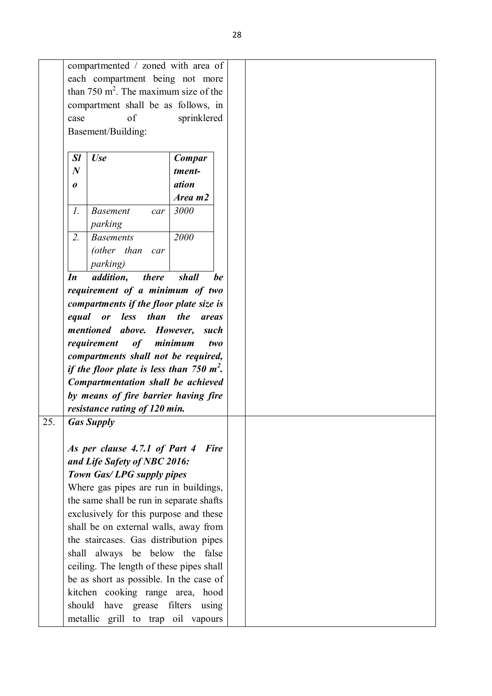|                  | compartmented / zoned with area of              |                     |             |
|------------------|-------------------------------------------------|---------------------|-------------|
|                  | each compartment being not more                 |                     |             |
|                  | than 750 $m^2$ . The maximum size of the        |                     |             |
|                  | compartment shall be as follows, in             |                     |             |
| case             | of                                              | sprinklered         |             |
|                  | Basement/Building:                              |                     |             |
|                  |                                                 |                     |             |
| <b>Sl</b>        | <b>Use</b>                                      | Compar              |             |
| $\boldsymbol{N}$ |                                                 | tment-              |             |
|                  |                                                 | ation               |             |
| 0                |                                                 | Area m2             |             |
|                  |                                                 |                     |             |
| $\mathfrak{1}.$  | <b>Basement</b><br>car<br>parking               | 3000                |             |
| 2.               | <b>Basements</b>                                | 2000                |             |
|                  | (other than<br>car                              |                     |             |
|                  | <i>parking</i> )                                |                     |             |
| In               | addition,<br>there                              | shall               | be          |
|                  | requirement of a minimum of two                 |                     |             |
|                  | compartments if the floor plate size is         |                     |             |
|                  | or less than the<br>equal                       |                     | areas       |
|                  | mentioned above.                                |                     |             |
|                  |                                                 |                     |             |
|                  |                                                 | However,            | such        |
|                  | requirement<br>of                               | minimum             | two         |
|                  | compartments shall not be required,             |                     |             |
|                  | if the floor plate is less than 750 $m^2$ .     |                     |             |
|                  | Compartmentation shall be achieved              |                     |             |
|                  | by means of fire barrier having fire            |                     |             |
|                  | resistance rating of 120 min.                   |                     |             |
| 25.              | <b>Gas Supply</b>                               |                     |             |
|                  |                                                 |                     |             |
|                  | As per clause 4.7.1 of Part 4                   |                     | <b>Fire</b> |
|                  | and Life Safety of NBC 2016:                    |                     |             |
|                  | Town Gas/LPG supply pipes                       |                     |             |
|                  | Where gas pipes are run in buildings,           |                     |             |
|                  | the same shall be run in separate shafts        |                     |             |
|                  | exclusively for this purpose and these          |                     |             |
|                  | shall be on external walls, away from           |                     |             |
|                  | the staircases. Gas distribution pipes          |                     |             |
|                  |                                                 |                     |             |
|                  | shall always be below the false                 |                     |             |
|                  | ceiling. The length of these pipes shall        |                     |             |
|                  | be as short as possible. In the case of         |                     |             |
|                  | kitchen cooking range area, hood                |                     |             |
|                  | should<br>have grease filters<br>metallic grill | to trap oil vapours | using       |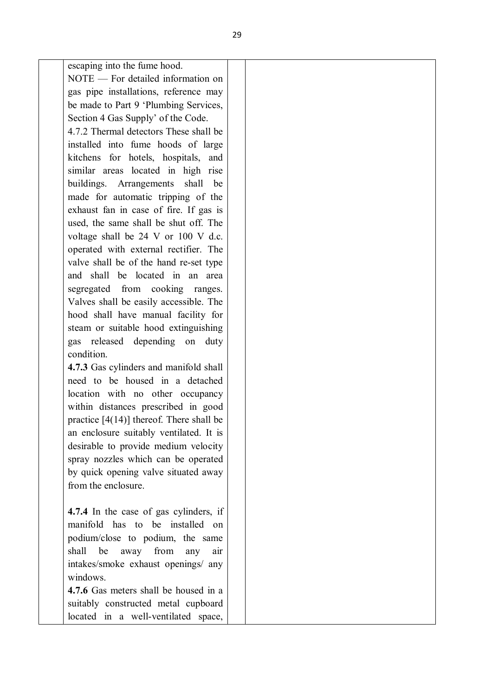escaping into the fume hood.

NOTE — For detailed information on gas pipe installations, reference may be made to Part 9 'Plumbing Services, Section 4 Gas Supply' of the Code.

4.7.2 Thermal detectors These shall be installed into fume hoods of large kitchens for hotels, hospitals, and similar areas located in high rise buildings. Arrangements shall be made for automatic tripping of the exhaust fan in case of fire. If gas is used, the same shall be shut off. The voltage shall be 24 V or 100 V d.c. operated with external rectifier. The valve shall be of the hand re-set type and shall be located in an area segregated from cooking ranges. Valves shall be easily accessible. The hood shall have manual facility for steam or suitable hood extinguishing gas released depending on duty condition.

**4.7.3** Gas cylinders and manifold shall need to be housed in a detached location with no other occupancy within distances prescribed in good practice [4(14)] thereof. There shall be an enclosure suitably ventilated. It is desirable to provide medium velocity spray nozzles which can be operated by quick opening valve situated away from the enclosure.

**4.7.4** In the case of gas cylinders, if manifold has to be installed on podium/close to podium, the same shall be away from any air intakes/smoke exhaust openings/ any windows.

**4.7.6** Gas meters shall be housed in a suitably constructed metal cupboard located in a well-ventilated space,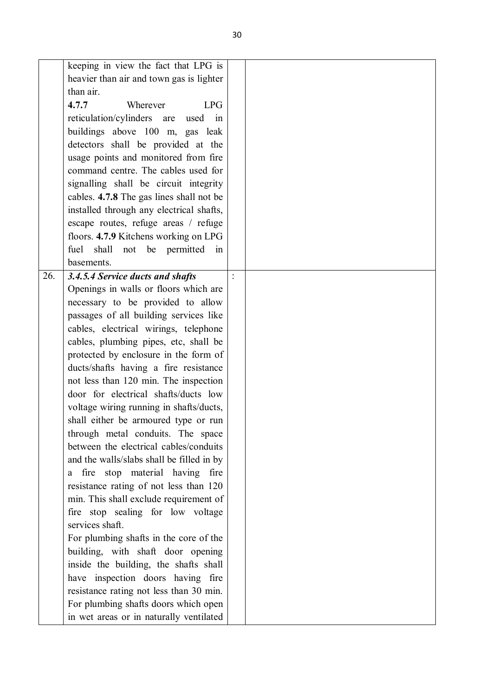|     | keeping in view the fact that LPG is      |                |  |
|-----|-------------------------------------------|----------------|--|
|     | heavier than air and town gas is lighter  |                |  |
|     | than air.                                 |                |  |
|     | 4.7.7<br>Wherever<br><b>LPG</b>           |                |  |
|     | reticulation/cylinders are<br>used in     |                |  |
|     | buildings above 100 m, gas leak           |                |  |
|     | detectors shall be provided at the        |                |  |
|     | usage points and monitored from fire      |                |  |
|     | command centre. The cables used for       |                |  |
|     | signalling shall be circuit integrity     |                |  |
|     | cables. 4.7.8 The gas lines shall not be  |                |  |
|     | installed through any electrical shafts,  |                |  |
|     | escape routes, refuge areas / refuge      |                |  |
|     | floors. 4.7.9 Kitchens working on LPG     |                |  |
|     | fuel shall not be permitted in            |                |  |
|     | basements.                                |                |  |
| 26. | 3.4.5.4 Service ducts and shafts          | $\ddot{\cdot}$ |  |
|     | Openings in walls or floors which are     |                |  |
|     | necessary to be provided to allow         |                |  |
|     | passages of all building services like    |                |  |
|     | cables, electrical wirings, telephone     |                |  |
|     | cables, plumbing pipes, etc, shall be     |                |  |
|     | protected by enclosure in the form of     |                |  |
|     | ducts/shafts having a fire resistance     |                |  |
|     | not less than 120 min. The inspection     |                |  |
|     | door for electrical shafts/ducts low      |                |  |
|     | voltage wiring running in shafts/ducts,   |                |  |
|     | shall either be armoured type or run      |                |  |
|     | through metal conduits. The space         |                |  |
|     | between the electrical cables/conduits    |                |  |
|     | and the walls/slabs shall be filled in by |                |  |
|     | fire stop material having fire<br>a       |                |  |
|     | resistance rating of not less than 120    |                |  |
|     | min. This shall exclude requirement of    |                |  |
|     | fire stop sealing for low voltage         |                |  |
|     | services shaft.                           |                |  |
|     | For plumbing shafts in the core of the    |                |  |
|     | building, with shaft door opening         |                |  |
|     | inside the building, the shafts shall     |                |  |
|     | have inspection doors having fire         |                |  |
|     | resistance rating not less than 30 min.   |                |  |
|     | For plumbing shafts doors which open      |                |  |
|     | in wet areas or in naturally ventilated   |                |  |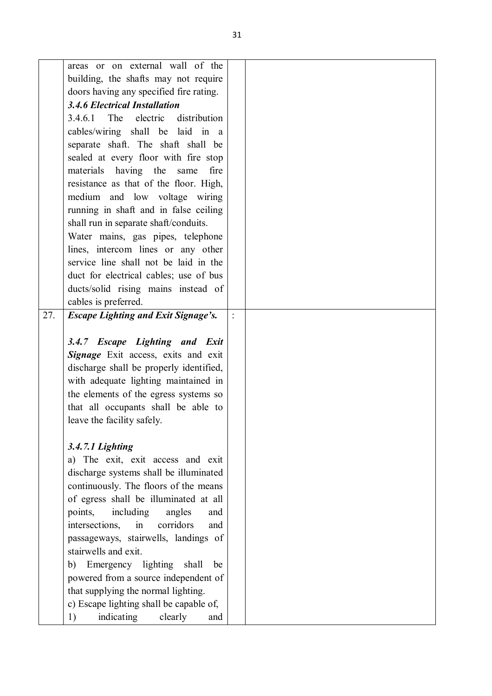|     | areas or on external wall of the           |                |  |
|-----|--------------------------------------------|----------------|--|
|     | building, the shafts may not require       |                |  |
|     | doors having any specified fire rating.    |                |  |
|     | <b>3.4.6 Electrical Installation</b>       |                |  |
|     | The electric<br>distribution<br>3.4.6.1    |                |  |
|     |                                            |                |  |
|     | cables/wiring shall be laid in a           |                |  |
|     | separate shaft. The shaft shall be         |                |  |
|     | sealed at every floor with fire stop       |                |  |
|     | materials having the<br>fire<br>same       |                |  |
|     | resistance as that of the floor. High,     |                |  |
|     | medium and low voltage wiring              |                |  |
|     | running in shaft and in false ceiling      |                |  |
|     | shall run in separate shaft/conduits.      |                |  |
|     | Water mains, gas pipes, telephone          |                |  |
|     | lines, intercom lines or any other         |                |  |
|     | service line shall not be laid in the      |                |  |
|     | duct for electrical cables; use of bus     |                |  |
|     | ducts/solid rising mains instead of        |                |  |
|     | cables is preferred.                       |                |  |
| 27. | <b>Escape Lighting and Exit Signage's.</b> | $\ddot{\cdot}$ |  |
|     |                                            |                |  |
|     | 3.4.7 Escape Lighting and Exit             |                |  |
|     | Signage Exit access, exits and exit        |                |  |
|     | discharge shall be properly identified,    |                |  |
|     | with adequate lighting maintained in       |                |  |
|     | the elements of the egress systems so      |                |  |
|     | that all occupants shall be able to        |                |  |
|     | leave the facility safely.                 |                |  |
|     |                                            |                |  |
|     | 3.4.7.1 Lighting                           |                |  |
|     | a) The exit, exit access and exit          |                |  |
|     | discharge systems shall be illuminated     |                |  |
|     | continuously. The floors of the means      |                |  |
|     | of egress shall be illuminated at all      |                |  |
|     | including<br>points,<br>angles<br>and      |                |  |
|     | corridors<br>intersections,<br>in<br>and   |                |  |
|     | passageways, stairwells, landings of       |                |  |
|     | stairwells and exit.                       |                |  |
|     | Emergency lighting shall<br>b)<br>be       |                |  |
|     | powered from a source independent of       |                |  |
|     |                                            |                |  |
|     | that supplying the normal lighting.        |                |  |
|     | c) Escape lighting shall be capable of,    |                |  |
|     | indicating<br>1)<br>clearly<br>and         |                |  |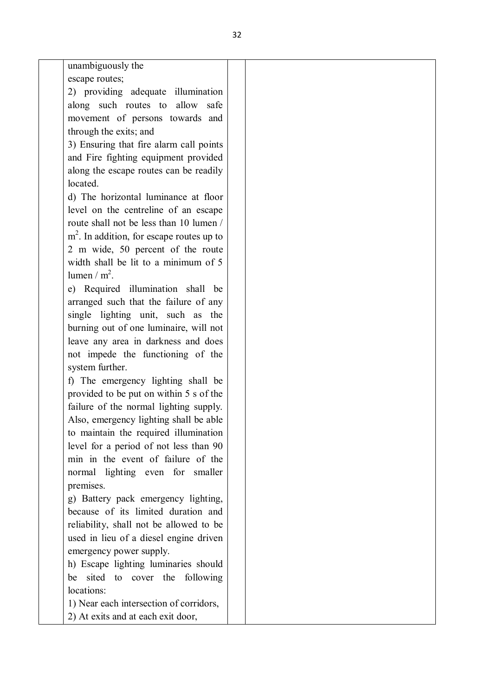unambiguously the escape routes;

2) providing adequate illumination along such routes to allow safe movement of persons towards and through the exits; and

3) Ensuring that fire alarm call points and Fire fighting equipment provided along the escape routes can be readily located.

d) The horizontal luminance at floor level on the centreline of an escape route shall not be less than 10 lumen / m<sup>2</sup>. In addition, for escape routes up to 2 m wide, 50 percent of the route width shall be lit to a minimum of 5 lumen /  $m^2$ .

e) Required illumination shall be arranged such that the failure of any single lighting unit, such as the burning out of one luminaire, will not leave any area in darkness and does not impede the functioning of the system further.

f) The emergency lighting shall be provided to be put on within 5 s of the failure of the normal lighting supply. Also, emergency lighting shall be able to maintain the required illumination level for a period of not less than 90 min in the event of failure of the normal lighting even for smaller premises.

g) Battery pack emergency lighting, because of its limited duration and reliability, shall not be allowed to be used in lieu of a diesel engine driven emergency power supply.

h) Escape lighting luminaries should be sited to cover the following locations:

1) Near each intersection of corridors,

2) At exits and at each exit door,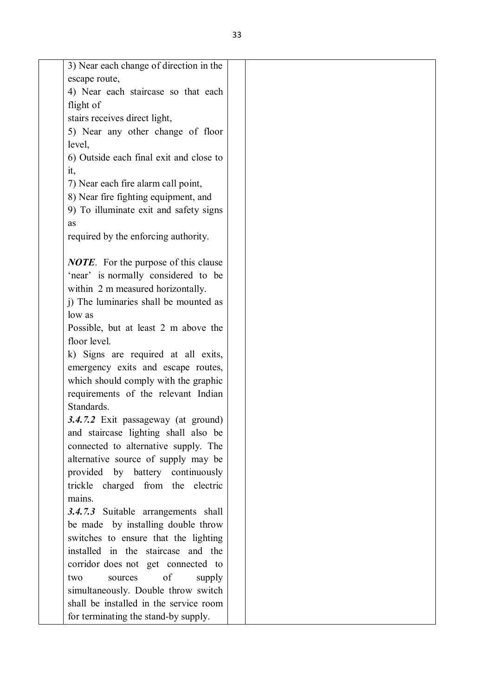| 3) Near each change of direction in the      |  |
|----------------------------------------------|--|
| escape route,                                |  |
| 4) Near each staircase so that each          |  |
| flight of                                    |  |
| stairs receives direct light,                |  |
| 5) Near any other change of floor            |  |
| level,                                       |  |
| 6) Outside each final exit and close to      |  |
| it,                                          |  |
| 7) Near each fire alarm call point,          |  |
| 8) Near fire fighting equipment, and         |  |
| 9) To illuminate exit and safety signs       |  |
| as                                           |  |
| required by the enforcing authority.         |  |
|                                              |  |
| <b>NOTE</b> . For the purpose of this clause |  |
| 'near' is normally considered to be          |  |
| within 2 m measured horizontally.            |  |
| j) The luminaries shall be mounted as        |  |
| low as                                       |  |
| Possible, but at least 2 m above the         |  |
| floor level.                                 |  |
| k) Signs are required at all exits,          |  |
| emergency exits and escape routes,           |  |
| which should comply with the graphic         |  |
| requirements of the relevant Indian          |  |
| Standards.                                   |  |
| 3.4.7.2 Exit passageway (at ground)          |  |
| and staircase lighting shall also be         |  |
| connected to alternative supply. The         |  |
| alternative source of supply may be          |  |
| provided by battery continuously             |  |
| trickle charged from the electric            |  |
| mains.                                       |  |
| 3.4.7.3 Suitable arrangements shall          |  |
| be made by installing double throw           |  |
| switches to ensure that the lighting         |  |
| installed in the staircase and the           |  |
| corridor does not get connected to           |  |
| of<br>supply<br>sources<br>two               |  |
| simultaneously. Double throw switch          |  |
| shall be installed in the service room       |  |
| for terminating the stand-by supply.         |  |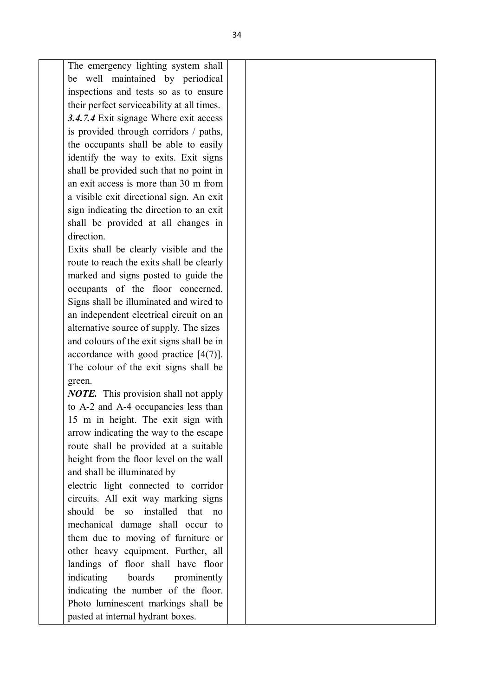The emergency lighting system shall be well maintained by periodical inspections and tests so as to ensure their perfect serviceability at all times. *3.4.7.4* Exit signage Where exit access is provided through corridors / paths, the occupants shall be able to easily identify the way to exits. Exit signs shall be provided such that no point in an exit access is more than 30 m from a visible exit directional sign. An exit sign indicating the direction to an exit shall be provided at all changes in direction. Exits shall be clearly visible and the

route to reach the exits shall be clearly marked and signs posted to guide the occupants of the floor concerned. Signs shall be illuminated and wired to an independent electrical circuit on an alternative source of supply. The sizes and colours of the exit signs shall be in accordance with good practice [4(7)]. The colour of the exit signs shall be green.

*NOTE.* This provision shall not apply to A-2 and A-4 occupancies less than 15 m in height. The exit sign with arrow indicating the way to the escape route shall be provided at a suitable height from the floor level on the wall and shall be illuminated by

electric light connected to corridor circuits. All exit way marking signs should be so installed that no mechanical damage shall occur to them due to moving of furniture or other heavy equipment. Further, all landings of floor shall have floor indicating boards prominently indicating the number of the floor. Photo luminescent markings shall be pasted at internal hydrant boxes.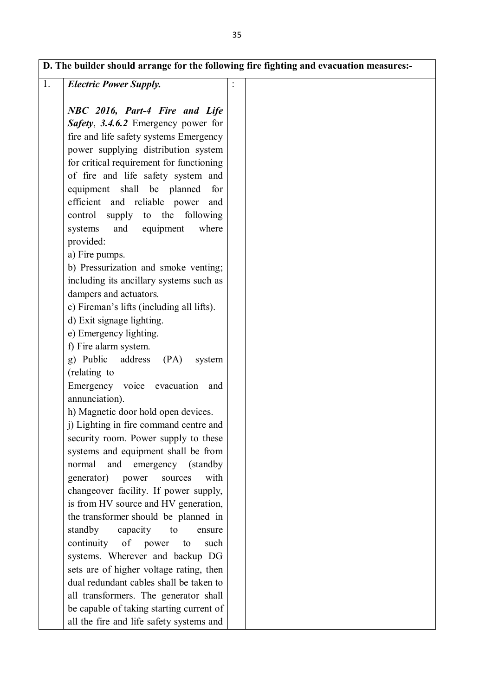|    |                                           | D. The builder should arrange for the following fire fighting and evacuation measures:- |
|----|-------------------------------------------|-----------------------------------------------------------------------------------------|
| 1. | <b>Electric Power Supply.</b>             |                                                                                         |
|    | NBC 2016, Part-4 Fire and Life            |                                                                                         |
|    | Safety, 3.4.6.2 Emergency power for       |                                                                                         |
|    | fire and life safety systems Emergency    |                                                                                         |
|    | power supplying distribution system       |                                                                                         |
|    | for critical requirement for functioning  |                                                                                         |
|    | of fire and life safety system and        |                                                                                         |
|    | equipment shall be planned<br>for         |                                                                                         |
|    | efficient and reliable power<br>and       |                                                                                         |
|    | control supply to the<br>following        |                                                                                         |
|    | systems and equipment<br>where            |                                                                                         |
|    | provided:                                 |                                                                                         |
|    | a) Fire pumps.                            |                                                                                         |
|    | b) Pressurization and smoke venting;      |                                                                                         |
|    | including its ancillary systems such as   |                                                                                         |
|    | dampers and actuators.                    |                                                                                         |
|    | c) Fireman's lifts (including all lifts). |                                                                                         |
|    | d) Exit signage lighting.                 |                                                                                         |
|    | e) Emergency lighting.                    |                                                                                         |
|    | f) Fire alarm system.                     |                                                                                         |
|    | g) Public<br>address (PA)<br>system       |                                                                                         |
|    | (relating to                              |                                                                                         |
|    | Emergency voice evacuation<br>and         |                                                                                         |
|    | annunciation).                            |                                                                                         |
|    | h) Magnetic door hold open devices.       |                                                                                         |
|    | j) Lighting in fire command centre and    |                                                                                         |
|    | security room. Power supply to these      |                                                                                         |
|    | systems and equipment shall be from       |                                                                                         |
|    | and emergency (standby)<br>normal         |                                                                                         |
|    | with<br>generator)<br>power<br>sources    |                                                                                         |
|    | changeover facility. If power supply,     |                                                                                         |
|    | is from HV source and HV generation,      |                                                                                         |
|    | the transformer should be planned in      |                                                                                         |
|    | standby<br>capacity to<br>ensure          |                                                                                         |
|    | continuity of power<br>to<br>such         |                                                                                         |
|    | systems. Wherever and backup DG           |                                                                                         |

sets are of higher voltage rating, then dual redundant cables shall be taken to all transformers. The generator shall be capable of taking starting current of all the fire and life safety systems and

 $\overline{1}$ .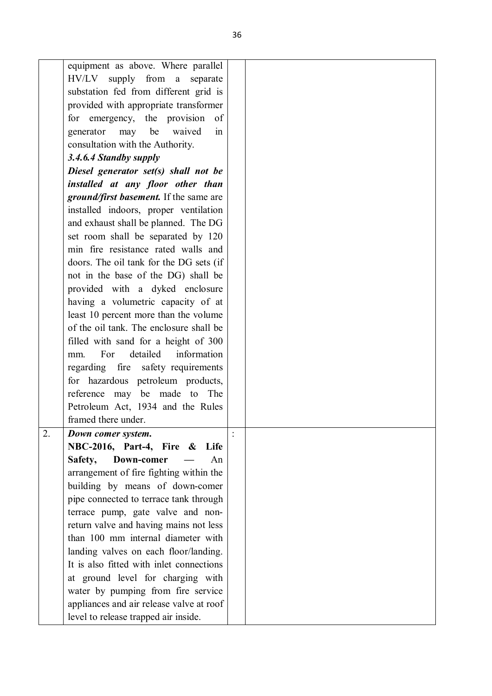| equipment as above. Where parallel            |  |
|-----------------------------------------------|--|
| HV/LV supply from a separate                  |  |
| substation fed from different grid is         |  |
| provided with appropriate transformer         |  |
| for emergency, the provision of               |  |
| be<br>generator<br>may<br>waived<br>in        |  |
| consultation with the Authority.              |  |
| 3.4.6.4 Standby supply                        |  |
| Diesel generator set(s) shall not be          |  |
| installed at any floor other than             |  |
| <i>ground/first basement.</i> If the same are |  |
| installed indoors, proper ventilation         |  |
| and exhaust shall be planned. The DG          |  |
| set room shall be separated by 120            |  |
| min fire resistance rated walls and           |  |
| doors. The oil tank for the DG sets (if       |  |
| not in the base of the DG) shall be           |  |
| provided with a dyked enclosure               |  |
| having a volumetric capacity of at            |  |
| least 10 percent more than the volume         |  |
| of the oil tank. The enclosure shall be       |  |
| filled with sand for a height of 300          |  |
| detailed<br>information<br>For<br>mm.         |  |
| regarding fire safety requirements            |  |
| for hazardous petroleum products,             |  |
| reference<br>may be made to The               |  |
| Petroleum Act, 1934 and the Rules             |  |
| framed there under.                           |  |
| 2.<br>Down comer system.                      |  |
| NBC-2016, Part-4, Fire & Life                 |  |
| Down-comer<br>Safety,<br>An                   |  |
| arrangement of fire fighting within the       |  |
| building by means of down-comer               |  |
| pipe connected to terrace tank through        |  |
| terrace pump, gate valve and non-             |  |
| return valve and having mains not less        |  |
| than 100 mm internal diameter with            |  |
| landing valves on each floor/landing.         |  |
| It is also fitted with inlet connections      |  |
| at ground level for charging with             |  |
| water by pumping from fire service            |  |
| appliances and air release valve at roof      |  |
| level to release trapped air inside.          |  |
|                                               |  |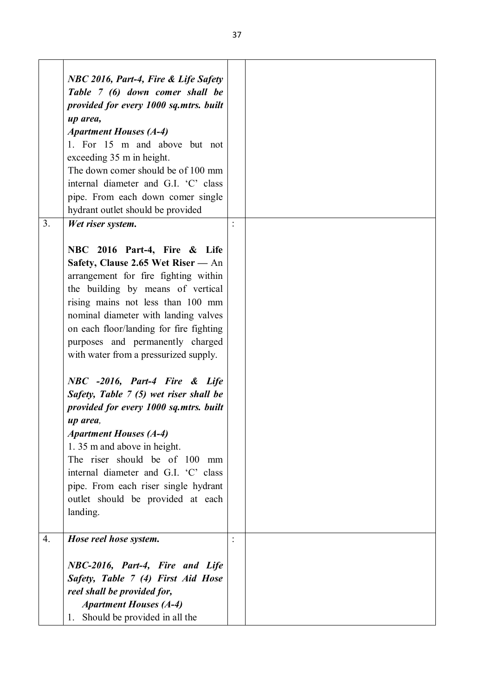|                | NBC 2016, Part-4, Fire & Life Safety    |  |
|----------------|-----------------------------------------|--|
|                | Table 7 (6) down comer shall be         |  |
|                |                                         |  |
|                | provided for every 1000 sq.mtrs. built  |  |
|                | up area,                                |  |
|                | <b>Apartment Houses (A-4)</b>           |  |
|                | 1. For 15 m and above but not           |  |
|                | exceeding 35 m in height.               |  |
|                | The down comer should be of 100 mm      |  |
|                | internal diameter and G.I. 'C' class    |  |
|                | pipe. From each down comer single       |  |
|                | hydrant outlet should be provided       |  |
| 3 <sub>1</sub> | Wet riser system.                       |  |
|                |                                         |  |
|                | NBC 2016 Part-4, Fire & Life            |  |
|                | Safety, Clause 2.65 Wet Riser - An      |  |
|                | arrangement for fire fighting within    |  |
|                | the building by means of vertical       |  |
|                | rising mains not less than 100 mm       |  |
|                | nominal diameter with landing valves    |  |
|                | on each floor/landing for fire fighting |  |
|                | purposes and permanently charged        |  |
|                | with water from a pressurized supply.   |  |
|                |                                         |  |
|                | NBC -2016, Part-4 Fire & Life           |  |
|                | Safety, Table 7 (5) wet riser shall be  |  |
|                | provided for every 1000 sq.mtrs. built  |  |
|                | up area,                                |  |
|                | <b>Apartment Houses (A-4)</b>           |  |
|                | 1.35 m and above in height.             |  |
|                | The riser should be of 100<br>mm        |  |
|                | internal diameter and G.I. 'C' class    |  |
|                | pipe. From each riser single hydrant    |  |
|                | outlet should be provided at each       |  |
|                | landing.                                |  |
|                |                                         |  |
| 4.             | Hose reel hose system.                  |  |
|                | NBC-2016, Part-4, Fire and Life         |  |
|                | Safety, Table 7 (4) First Aid Hose      |  |
|                | reel shall be provided for,             |  |
|                | <b>Apartment Houses (A-4)</b>           |  |
|                |                                         |  |
|                | Should be provided in all the<br>1.     |  |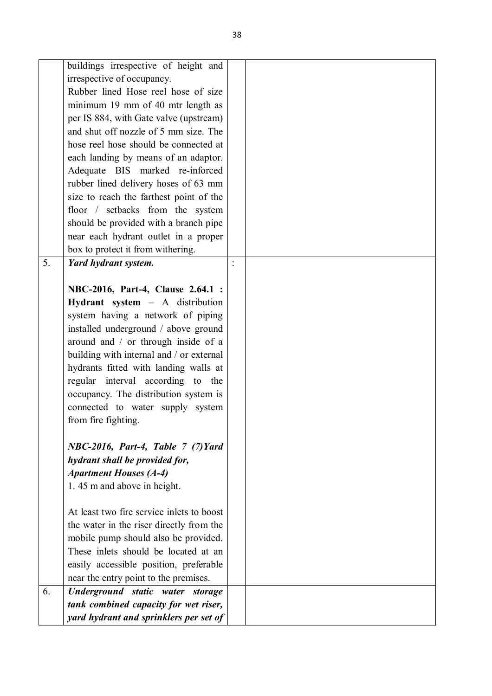|    | buildings irrespective of height and      |  |
|----|-------------------------------------------|--|
|    | irrespective of occupancy.                |  |
|    | Rubber lined Hose reel hose of size       |  |
|    | minimum 19 mm of 40 mtr length as         |  |
|    | per IS 884, with Gate valve (upstream)    |  |
|    | and shut off nozzle of 5 mm size. The     |  |
|    | hose reel hose should be connected at     |  |
|    | each landing by means of an adaptor.      |  |
|    | Adequate BIS marked re-inforced           |  |
|    | rubber lined delivery hoses of 63 mm      |  |
|    | size to reach the farthest point of the   |  |
|    | floor / setbacks from the system          |  |
|    | should be provided with a branch pipe     |  |
|    | near each hydrant outlet in a proper      |  |
|    | box to protect it from withering.         |  |
| 5. | Yard hydrant system.                      |  |
|    |                                           |  |
|    | NBC-2016, Part-4, Clause 2.64.1 :         |  |
|    | Hydrant system - A distribution           |  |
|    | system having a network of piping         |  |
|    | installed underground / above ground      |  |
|    | around and / or through inside of a       |  |
|    | building with internal and / or external  |  |
|    | hydrants fitted with landing walls at     |  |
|    | regular interval according to the         |  |
|    | occupancy. The distribution system is     |  |
|    | connected to water supply system          |  |
|    | from fire fighting.                       |  |
|    |                                           |  |
|    | $NBC-2016$ , Part-4, Table 7 (7) Yard     |  |
|    | hydrant shall be provided for,            |  |
|    | <b>Apartment Houses (A-4)</b>             |  |
|    | 1.45 m and above in height.               |  |
|    |                                           |  |
|    | At least two fire service inlets to boost |  |
|    | the water in the riser directly from the  |  |
|    | mobile pump should also be provided.      |  |
|    | These inlets should be located at an      |  |
|    | easily accessible position, preferable    |  |
|    | near the entry point to the premises.     |  |
| 6. | Underground static water storage          |  |
|    | tank combined capacity for wet riser,     |  |
|    | yard hydrant and sprinklers per set of    |  |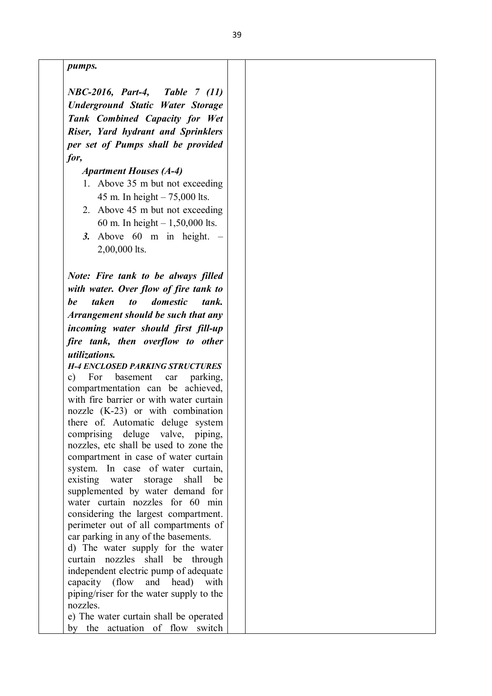*pumps.*

*NBC-2016, Part-4, Table 7 (11) Underground Static Water Storage Tank Combined Capacity for Wet Riser, Yard hydrant and Sprinklers per set of Pumps shall be provided for,*

*Apartment Houses (A-4)*

- 1. Above 35 m but not exceeding 45 m. In height – 75,000 lts.
- 2. Above 45 m but not exceeding 60 m. In height – 1,50,000 lts.
- *3.* Above 60 m in height. 2,00,000 lts.

*Note: Fire tank to be always filled with water. Over flow of fire tank to be taken to domestic tank. Arrangement should be such that any incoming water should first fill-up fire tank, then overflow to other utilizations.*

*H-4 ENCLOSED PARKING STRUCTURES* c) For basement car parking, compartmentation can be achieved, with fire barrier or with water curtain nozzle (K-23) or with combination there of. Automatic deluge system comprising deluge valve, piping, nozzles, etc shall be used to zone the compartment in case of water curtain system. In case of water curtain, existing water storage shall be supplemented by water demand for water curtain nozzles for 60 min considering the largest compartment. perimeter out of all compartments of car parking in any of the basements.

d) The water supply for the water curtain nozzles shall be through independent electric pump of adequate capacity (flow and head) with piping/riser for the water supply to the nozzles.

e) The water curtain shall be operated by the actuation of flow switch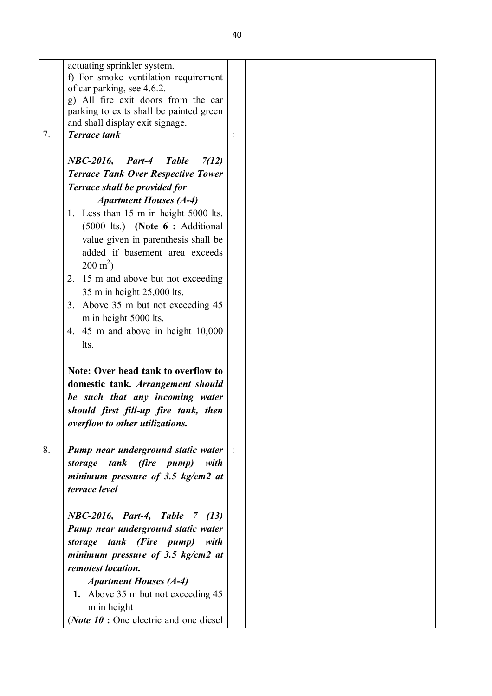|    | actuating sprinkler system.                                                |               |  |
|----|----------------------------------------------------------------------------|---------------|--|
|    | f) For smoke ventilation requirement                                       |               |  |
|    | of car parking, see 4.6.2.                                                 |               |  |
|    | g) All fire exit doors from the car                                        |               |  |
|    | parking to exits shall be painted green<br>and shall display exit signage. |               |  |
| 7. | <b>Terrace</b> tank                                                        |               |  |
|    |                                                                            |               |  |
|    | <b>NBC-2016, Part-4</b><br><b>Table</b><br>7(12)                           |               |  |
|    | <b>Terrace Tank Over Respective Tower</b>                                  |               |  |
|    | Terrace shall be provided for                                              |               |  |
|    |                                                                            |               |  |
|    | <b>Apartment Houses (A-4)</b>                                              |               |  |
|    | 1. Less than 15 m in height 5000 lts.                                      |               |  |
|    | (5000 lts.) (Note 6 : Additional                                           |               |  |
|    | value given in parenthesis shall be                                        |               |  |
|    | added if basement area exceeds                                             |               |  |
|    | $200 \text{ m}^2$ )                                                        |               |  |
|    | 15 m and above but not exceeding<br>2.                                     |               |  |
|    | 35 m in height 25,000 lts.                                                 |               |  |
|    | 3. Above 35 m but not exceeding 45                                         |               |  |
|    | m in height 5000 lts.                                                      |               |  |
|    | 4. $45 \text{ m}$ and above in height $10,000$                             |               |  |
|    | lts.                                                                       |               |  |
|    |                                                                            |               |  |
|    | Note: Over head tank to overflow to                                        |               |  |
|    | domestic tank. Arrangement should                                          |               |  |
|    | be such that any incoming water                                            |               |  |
|    | should first fill-up fire tank, then                                       |               |  |
|    | overflow to other utilizations.                                            |               |  |
|    |                                                                            |               |  |
| 8. | Pump near underground static water                                         | $\frac{1}{2}$ |  |
|    | storage tank (fire pump) with                                              |               |  |
|    | minimum pressure of 3.5 $kg/cm2$ at                                        |               |  |
|    | terrace level                                                              |               |  |
|    |                                                                            |               |  |
|    | NBC-2016, Part-4, Table 7 (13)                                             |               |  |
|    | Pump near underground static water                                         |               |  |
|    |                                                                            |               |  |
|    | storage tank (Fire pump) with                                              |               |  |
|    | minimum pressure of 3.5 $kg/cm2$ at                                        |               |  |
|    | remotest location.                                                         |               |  |
|    | <b>Apartment Houses (A-4)</b>                                              |               |  |
|    | 1. Above 35 m but not exceeding 45                                         |               |  |
|    | m in height                                                                |               |  |
|    | ( <i>Note 10</i> : One electric and one diesel                             |               |  |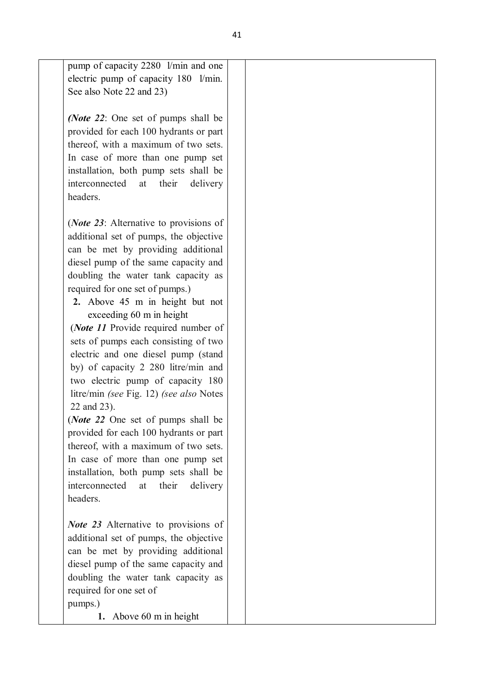pump of capacity 2280 l/min and one electric pump of capacity 180 l/min. See also Note 22 and 23)

*(Note 22*: One set of pumps shall be provided for each 100 hydrants or part thereof, with a maximum of two sets. In case of more than one pump set installation, both pump sets shall be interconnected at their delivery headers.

(*Note 23*: Alternative to provisions of additional set of pumps, the objective can be met by providing additional diesel pump of the same capacity and doubling the water tank capacity as required for one set of pumps.)

**2.** Above 45 m in height but not exceeding 60 m in height

(*Note 11* Provide required number of sets of pumps each consisting of two electric and one diesel pump (stand by) of capacity 2 280 litre/min and two electric pump of capacity 180 litre/min *(see* Fig. 12) *(see also* Notes 22 and 23).

(*Note 22* One set of pumps shall be provided for each 100 hydrants or part thereof, with a maximum of two sets. In case of more than one pump set installation, both pump sets shall be interconnected at their delivery headers.

*Note 23* Alternative to provisions of additional set of pumps, the objective can be met by providing additional diesel pump of the same capacity and doubling the water tank capacity as required for one set of pumps.)

**1.** Above 60 m in height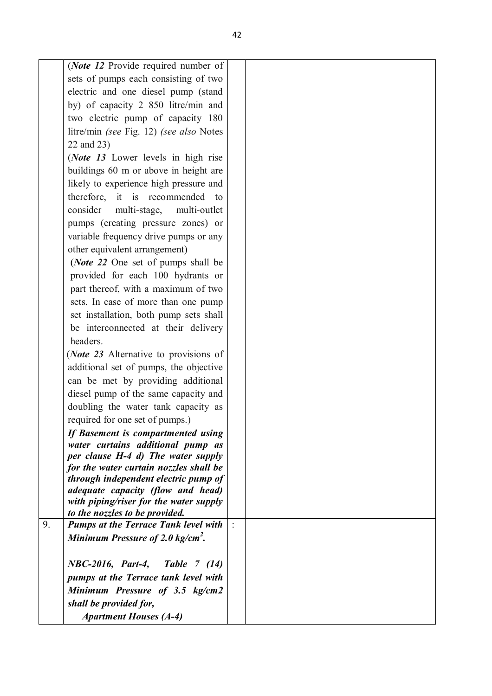| (Note 12 Provide required number of           |  |
|-----------------------------------------------|--|
| sets of pumps each consisting of two          |  |
| electric and one diesel pump (stand           |  |
| by) of capacity 2 850 litre/min and           |  |
| two electric pump of capacity 180             |  |
| litre/min (see Fig. 12) (see also Notes       |  |
| 22 and 23)                                    |  |
| ( <i>Note 13</i> Lower levels in high rise    |  |
| buildings 60 m or above in height are         |  |
| likely to experience high pressure and        |  |
| therefore, it is recommended to               |  |
| consider<br>multi-outlet<br>multi-stage,      |  |
| pumps (creating pressure zones) or            |  |
| variable frequency drive pumps or any         |  |
| other equivalent arrangement)                 |  |
| ( <i>Note 22</i> One set of pumps shall be    |  |
| provided for each 100 hydrants or             |  |
| part thereof, with a maximum of two           |  |
| sets. In case of more than one pump           |  |
| set installation, both pump sets shall        |  |
| be interconnected at their delivery           |  |
| headers.                                      |  |
| ( <i>Note 23</i> Alternative to provisions of |  |
| additional set of pumps, the objective        |  |
| can be met by providing additional            |  |
| diesel pump of the same capacity and          |  |
| doubling the water tank capacity as           |  |
| required for one set of pumps.)               |  |
| If Basement is compartmented using            |  |
| water curtains additional pump as             |  |
| per clause H-4 d) The water supply            |  |
| for the water curtain nozzles shall be        |  |
| through independent electric pump of          |  |
| adequate capacity (flow and head)             |  |
| with piping/riser for the water supply        |  |
| to the nozzles to be provided.<br>9.          |  |
| <b>Pumps at the Terrace Tank level with</b>   |  |
| Minimum Pressure of 2.0 kg/cm <sup>2</sup> .  |  |
| NBC-2016, Part-4, Table 7 (14)                |  |
| pumps at the Terrace tank level with          |  |
| Minimum Pressure of 3.5 kg/cm2                |  |
| shall be provided for,                        |  |
| <b>Apartment Houses (A-4)</b>                 |  |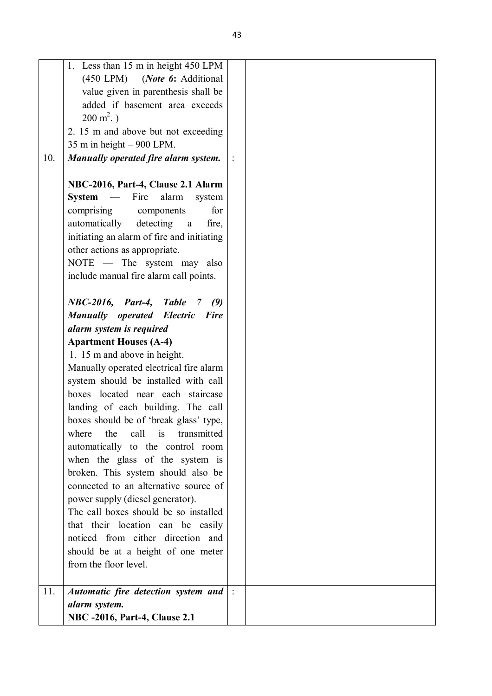|     | 1. Less than 15 m in height 450 LPM                |  |
|-----|----------------------------------------------------|--|
|     | (450 LPM) (Note 6: Additional                      |  |
|     | value given in parenthesis shall be                |  |
|     | added if basement area exceeds                     |  |
|     | $200 \text{ m}^2$ .)                               |  |
|     | 2. 15 m and above but not exceeding                |  |
|     | 35 m in height - 900 LPM.                          |  |
| 10. | Manually operated fire alarm system.               |  |
|     |                                                    |  |
|     | NBC-2016, Part-4, Clause 2.1 Alarm                 |  |
|     | <b>System</b><br>$\sim$<br>Fire<br>alarm<br>system |  |
|     | comprising components<br>for                       |  |
|     | automatically<br>detecting<br>fire,<br>a           |  |
|     | initiating an alarm of fire and initiating         |  |
|     | other actions as appropriate.                      |  |
|     | NOTE — The system may also                         |  |
|     | include manual fire alarm call points.             |  |
|     |                                                    |  |
|     | <b>NBC-2016, Part-4, Table 7</b><br>(9)            |  |
|     | <b>Manually operated Electric Fire</b>             |  |
|     | alarm system is required                           |  |
|     | <b>Apartment Houses (A-4)</b>                      |  |
|     | 1. 15 m and above in height.                       |  |
|     | Manually operated electrical fire alarm            |  |
|     | system should be installed with call               |  |
|     | boxes located near each staircase                  |  |
|     | landing of each building. The call                 |  |
|     | boxes should be of 'break glass' type,             |  |
|     | is<br>call<br>where<br>the<br>transmitted          |  |
|     | automatically to the control room                  |  |
|     | when the glass of the system is                    |  |
|     | broken. This system should also be                 |  |
|     | connected to an alternative source of              |  |
|     | power supply (diesel generator).                   |  |
|     | The call boxes should be so installed              |  |
|     | that their location can be easily                  |  |
|     | noticed from either direction and                  |  |
|     | should be at a height of one meter                 |  |
|     | from the floor level.                              |  |
|     |                                                    |  |
| 11. | Automatic fire detection system and                |  |
|     | alarm system.                                      |  |
|     | <b>NBC -2016, Part-4, Clause 2.1</b>               |  |
|     |                                                    |  |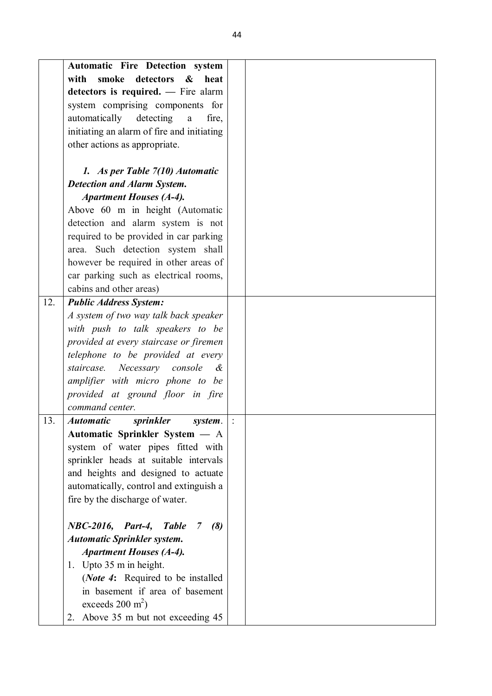|     | Automatic Fire Detection system                      |  |
|-----|------------------------------------------------------|--|
|     | smoke detectors<br>with<br>$\boldsymbol{\&}$<br>heat |  |
|     | detectors is required. — Fire alarm                  |  |
|     | system comprising components for                     |  |
|     | automatically detecting<br>fire,<br>$\mathbf{a}$     |  |
|     | initiating an alarm of fire and initiating           |  |
|     | other actions as appropriate.                        |  |
|     |                                                      |  |
|     | 1. As per Table 7(10) Automatic                      |  |
|     | <b>Detection and Alarm System.</b>                   |  |
|     | <b>Apartment Houses (A-4).</b>                       |  |
|     | Above 60 m in height (Automatic                      |  |
|     | detection and alarm system is not                    |  |
|     | required to be provided in car parking               |  |
|     | area. Such detection system shall                    |  |
|     | however be required in other areas of                |  |
|     | car parking such as electrical rooms,                |  |
|     | cabins and other areas)                              |  |
| 12. | <b>Public Address System:</b>                        |  |
|     | A system of two way talk back speaker                |  |
|     | with push to talk speakers to be                     |  |
|     | provided at every staircase or firemen               |  |
|     | telephone to be provided at every                    |  |
|     | Necessary console<br>staircase.<br>$\alpha$          |  |
|     | amplifier with micro phone to be                     |  |
|     | provided at ground floor in fire                     |  |
|     | command center.                                      |  |
| 13. | <b>Automatic</b><br>sprinkler<br>system.             |  |
|     | Automatic Sprinkler System - A                       |  |
|     | system of water pipes fitted with                    |  |
|     | sprinkler heads at suitable intervals                |  |
|     | and heights and designed to actuate                  |  |
|     | automatically, control and extinguish a              |  |
|     | fire by the discharge of water.                      |  |
|     |                                                      |  |
|     | NBC-2016, Part-4, Table<br>(8)<br>$\overline{7}$     |  |
|     | <b>Automatic Sprinkler system.</b>                   |  |
|     | <b>Apartment Houses (A-4).</b>                       |  |
|     | 1. Upto 35 m in height.                              |  |
|     | ( <i>Note 4</i> : Required to be installed           |  |
|     | in basement if area of basement                      |  |
|     | exceeds $200 \text{ m}^2$ )                          |  |
|     | 2. Above 35 m but not exceeding 45                   |  |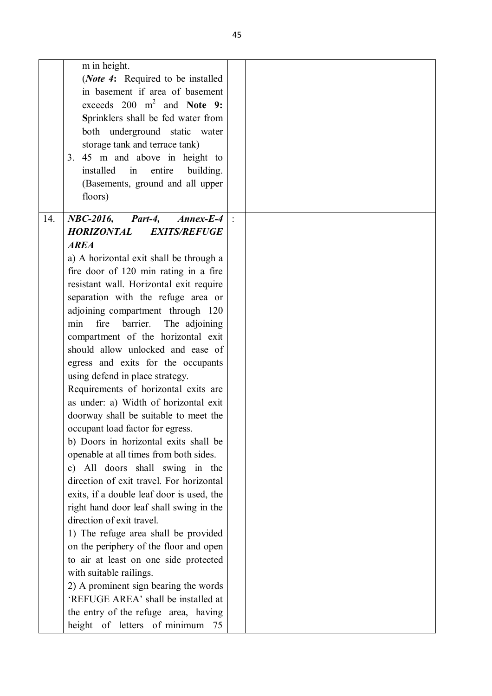|     | m in height.<br>( <i>Note 4</i> : Required to be installed<br>in basement if area of basement<br>exceeds $200 \text{ m}^2$ and Note 9:<br>Sprinklers shall be fed water from |  |
|-----|------------------------------------------------------------------------------------------------------------------------------------------------------------------------------|--|
|     | both underground static water<br>storage tank and terrace tank)                                                                                                              |  |
|     | 3. 45 m and above in height to<br>installed<br>in<br>entire<br>building.                                                                                                     |  |
|     | (Basements, ground and all upper<br>floors)                                                                                                                                  |  |
| 14. | $NBC-2016$ ,<br>Part-4,<br>$Annex-E-4$                                                                                                                                       |  |
|     | HORIZONTAL<br><b>EXITS/REFUGE</b>                                                                                                                                            |  |
|     | <b>AREA</b>                                                                                                                                                                  |  |
|     | a) A horizontal exit shall be through a                                                                                                                                      |  |
|     | fire door of 120 min rating in a fire                                                                                                                                        |  |
|     | resistant wall. Horizontal exit require                                                                                                                                      |  |
|     | separation with the refuge area or                                                                                                                                           |  |
|     | adjoining compartment through 120                                                                                                                                            |  |
|     | fire<br>min<br>barrier.<br>The adjoining                                                                                                                                     |  |
|     | compartment of the horizontal exit                                                                                                                                           |  |
|     | should allow unlocked and ease of                                                                                                                                            |  |
|     | egress and exits for the occupants                                                                                                                                           |  |
|     | using defend in place strategy.                                                                                                                                              |  |
|     | Requirements of horizontal exits are<br>as under: a) Width of horizontal exit                                                                                                |  |
|     | doorway shall be suitable to meet the                                                                                                                                        |  |
|     | occupant load factor for egress.                                                                                                                                             |  |
|     | b) Doors in horizontal exits shall be                                                                                                                                        |  |
|     | openable at all times from both sides.                                                                                                                                       |  |
|     | c) All doors shall swing in the                                                                                                                                              |  |
|     | direction of exit travel. For horizontal                                                                                                                                     |  |
|     | exits, if a double leaf door is used, the                                                                                                                                    |  |
|     | right hand door leaf shall swing in the                                                                                                                                      |  |
|     | direction of exit travel.                                                                                                                                                    |  |
|     | 1) The refuge area shall be provided                                                                                                                                         |  |
|     | on the periphery of the floor and open                                                                                                                                       |  |
|     | to air at least on one side protected                                                                                                                                        |  |
|     | with suitable railings.                                                                                                                                                      |  |
|     | 2) A prominent sign bearing the words                                                                                                                                        |  |
|     | 'REFUGE AREA' shall be installed at                                                                                                                                          |  |
|     | the entry of the refuge area, having                                                                                                                                         |  |
|     | height of letters of minimum<br>75                                                                                                                                           |  |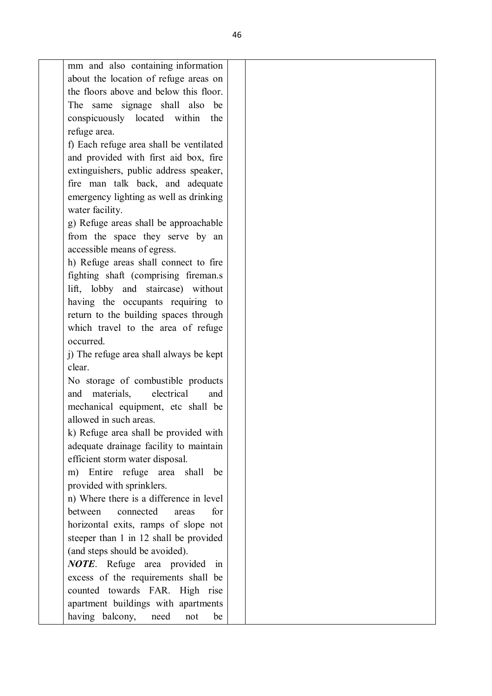| mm and also containing information       |  |
|------------------------------------------|--|
| about the location of refuge areas on    |  |
| the floors above and below this floor.   |  |
| The same signage shall also<br>be        |  |
| conspicuously located within<br>the      |  |
| refuge area.                             |  |
| f) Each refuge area shall be ventilated  |  |
| and provided with first aid box, fire    |  |
| extinguishers, public address speaker,   |  |
| fire man talk back, and adequate         |  |
| emergency lighting as well as drinking   |  |
| water facility.                          |  |
| g) Refuge areas shall be approachable    |  |
| from the space they serve by an          |  |
| accessible means of egress.              |  |
| h) Refuge areas shall connect to fire    |  |
| fighting shaft (comprising fireman.s)    |  |
| lift, lobby and staircase) without       |  |
| having the occupants requiring to        |  |
| return to the building spaces through    |  |
| which travel to the area of refuge       |  |
| occurred.                                |  |
| j) The refuge area shall always be kept  |  |
| clear.                                   |  |
| No storage of combustible products       |  |
| and materials,<br>electrical<br>and      |  |
| mechanical equipment, etc shall be       |  |
| allowed in such areas.                   |  |
| k) Refuge area shall be provided with    |  |
| adequate drainage facility to maintain   |  |
| efficient storm water disposal.          |  |
| m) Entire refuge area shall<br>be        |  |
| provided with sprinklers.                |  |
| n) Where there is a difference in level  |  |
| between<br>connected<br>for<br>areas     |  |
| horizontal exits, ramps of slope not     |  |
| steeper than 1 in 12 shall be provided   |  |
|                                          |  |
| (and steps should be avoided).           |  |
| <b>NOTE</b> . Refuge area provided<br>in |  |
| excess of the requirements shall be      |  |
| counted towards FAR. High rise           |  |
| apartment buildings with apartments      |  |
| having balcony,<br>need<br>not<br>be     |  |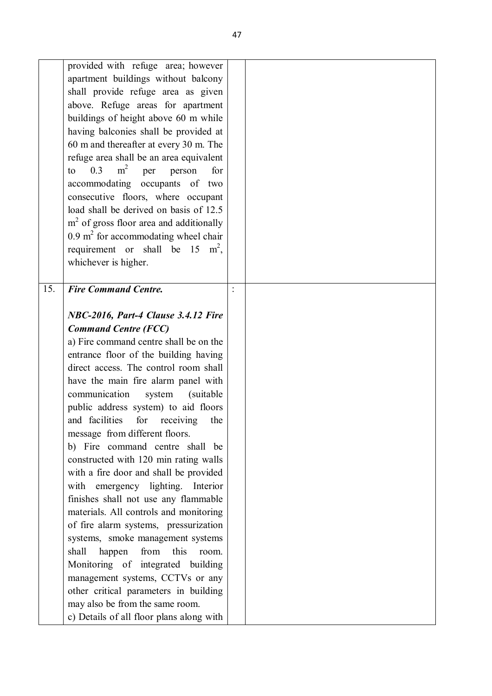|     | provided with refuge area; however<br>apartment buildings without balcony<br>shall provide refuge area as given<br>above. Refuge areas for apartment<br>buildings of height above 60 m while<br>having balconies shall be provided at<br>60 m and thereafter at every 30 m. The<br>refuge area shall be an area equivalent<br>m <sup>2</sup><br>0.3<br>to<br>per<br>person<br>for<br>accommodating occupants of two<br>consecutive floors, where occupant<br>load shall be derived on basis of 12.5<br>$m2$ of gross floor area and additionally<br>$0.9 \text{ m}^2$ for accommodating wheel chair<br>requirement or shall be 15 $m^2$ ,<br>whichever is higher.                                                                                                                                                                                                                                                                                                                                            |  |  |
|-----|--------------------------------------------------------------------------------------------------------------------------------------------------------------------------------------------------------------------------------------------------------------------------------------------------------------------------------------------------------------------------------------------------------------------------------------------------------------------------------------------------------------------------------------------------------------------------------------------------------------------------------------------------------------------------------------------------------------------------------------------------------------------------------------------------------------------------------------------------------------------------------------------------------------------------------------------------------------------------------------------------------------|--|--|
| 15. | <b>Fire Command Centre.</b><br>NBC-2016, Part-4 Clause 3.4.12 Fire<br><b>Command Centre (FCC)</b><br>a) Fire command centre shall be on the<br>entrance floor of the building having<br>direct access. The control room shall<br>have the main fire alarm panel with<br>communication<br>(suitable)<br>system<br>public address system) to aid floors<br>and facilities<br>for<br>receiving<br>the<br>message from different floors.<br>b) Fire command centre shall be<br>constructed with 120 min rating walls<br>with a fire door and shall be provided<br>with emergency lighting. Interior<br>finishes shall not use any flammable<br>materials. All controls and monitoring<br>of fire alarm systems, pressurization<br>systems, smoke management systems<br>from<br>this<br>shall<br>happen<br>room.<br>Monitoring of integrated building<br>management systems, CCTVs or any<br>other critical parameters in building<br>may also be from the same room.<br>c) Details of all floor plans along with |  |  |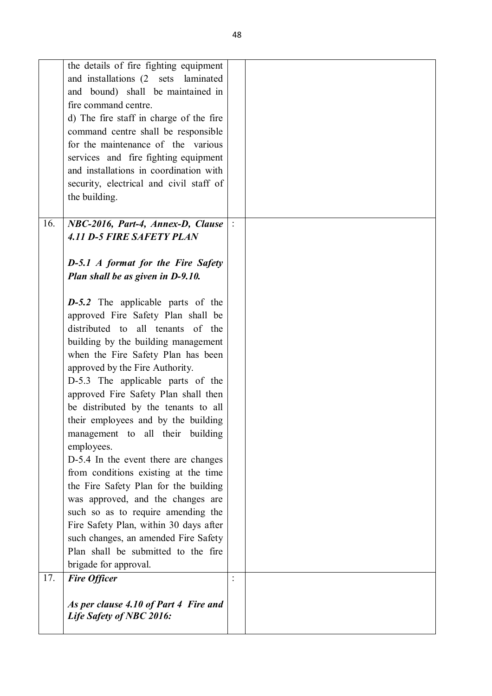|     | the details of fire fighting equipment    |                |  |
|-----|-------------------------------------------|----------------|--|
|     | and installations (2 sets laminated       |                |  |
|     | and bound) shall be maintained in         |                |  |
|     | fire command centre.                      |                |  |
|     |                                           |                |  |
|     | d) The fire staff in charge of the fire   |                |  |
|     | command centre shall be responsible       |                |  |
|     | for the maintenance of the various        |                |  |
|     | services and fire fighting equipment      |                |  |
|     | and installations in coordination with    |                |  |
|     |                                           |                |  |
|     | security, electrical and civil staff of   |                |  |
|     | the building.                             |                |  |
|     |                                           |                |  |
| 16. | NBC-2016, Part-4, Annex-D, Clause         |                |  |
|     | <b>4.11 D-5 FIRE SAFETY PLAN</b>          |                |  |
|     |                                           |                |  |
|     | <b>D-5.1</b> A format for the Fire Safety |                |  |
|     |                                           |                |  |
|     | Plan shall be as given in D-9.10.         |                |  |
|     |                                           |                |  |
|     | $D-5.2$ The applicable parts of the       |                |  |
|     | approved Fire Safety Plan shall be        |                |  |
|     | distributed to all tenants of the         |                |  |
|     | building by the building management       |                |  |
|     |                                           |                |  |
|     | when the Fire Safety Plan has been        |                |  |
|     | approved by the Fire Authority.           |                |  |
|     | D-5.3 The applicable parts of the         |                |  |
|     | approved Fire Safety Plan shall then      |                |  |
|     | be distributed by the tenants to all      |                |  |
|     | their employees and by the building       |                |  |
|     |                                           |                |  |
|     | management to all their building          |                |  |
|     | employees.                                |                |  |
|     | D-5.4 In the event there are changes      |                |  |
|     | from conditions existing at the time      |                |  |
|     | the Fire Safety Plan for the building     |                |  |
|     | was approved, and the changes are         |                |  |
|     |                                           |                |  |
|     | such so as to require amending the        |                |  |
|     | Fire Safety Plan, within 30 days after    |                |  |
|     | such changes, an amended Fire Safety      |                |  |
|     | Plan shall be submitted to the fire       |                |  |
|     | brigade for approval.                     |                |  |
| 17. | <b>Fire Officer</b>                       | $\ddot{\cdot}$ |  |
|     |                                           |                |  |
|     |                                           |                |  |
|     | As per clause 4.10 of Part 4 Fire and     |                |  |
|     | Life Safety of NBC 2016:                  |                |  |
|     |                                           |                |  |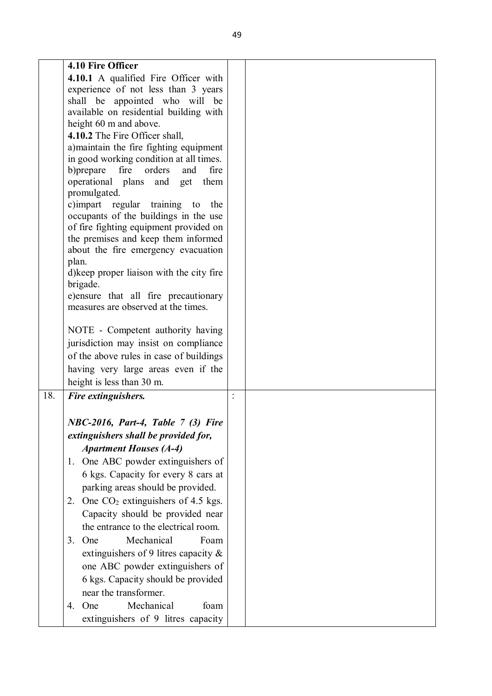|     | 4.10 Fire Officer                                                            |  |
|-----|------------------------------------------------------------------------------|--|
|     | 4.10.1 A qualified Fire Officer with                                         |  |
|     | experience of not less than 3 years                                          |  |
|     | shall be appointed who will be                                               |  |
|     | available on residential building with                                       |  |
|     | height 60 m and above.                                                       |  |
|     | 4.10.2 The Fire Officer shall,                                               |  |
|     | a) maintain the fire fighting equipment                                      |  |
|     | in good working condition at all times.                                      |  |
|     | fire<br>b) prepare<br>orders<br>and<br>fire                                  |  |
|     | operational plans<br>and<br>get<br>them                                      |  |
|     | promulgated.                                                                 |  |
|     | c)impart regular<br>training to the                                          |  |
|     | occupants of the buildings in the use                                        |  |
|     | of fire fighting equipment provided on                                       |  |
|     | the premises and keep them informed                                          |  |
|     | about the fire emergency evacuation                                          |  |
|     | plan.                                                                        |  |
|     | d) keep proper liaison with the city fire                                    |  |
|     | brigade.                                                                     |  |
|     | e) ensure that all fire precautionary<br>measures are observed at the times. |  |
|     |                                                                              |  |
|     | NOTE - Competent authority having                                            |  |
|     | jurisdiction may insist on compliance                                        |  |
|     |                                                                              |  |
|     | of the above rules in case of buildings                                      |  |
|     | having very large areas even if the                                          |  |
|     | height is less than 30 m.                                                    |  |
| 18. | Fire extinguishers.                                                          |  |
|     |                                                                              |  |
|     | NBC-2016, Part-4, Table 7 (3) Fire                                           |  |
|     | extinguishers shall be provided for,                                         |  |
|     | <b>Apartment Houses (A-4)</b>                                                |  |
|     | 1. One ABC powder extinguishers of                                           |  |
|     | 6 kgs. Capacity for every 8 cars at                                          |  |
|     |                                                                              |  |
|     | parking areas should be provided.                                            |  |
|     | 2. One $CO2$ extinguishers of 4.5 kgs.                                       |  |
|     | Capacity should be provided near                                             |  |
|     | the entrance to the electrical room.                                         |  |
|     | Mechanical<br>Foam<br>3. One                                                 |  |
|     | extinguishers of 9 litres capacity $\&$                                      |  |
|     | one ABC powder extinguishers of                                              |  |
|     | 6 kgs. Capacity should be provided                                           |  |
|     | near the transformer.                                                        |  |
|     | Mechanical<br>4. One<br>foam                                                 |  |
|     |                                                                              |  |
|     | extinguishers of 9 litres capacity                                           |  |